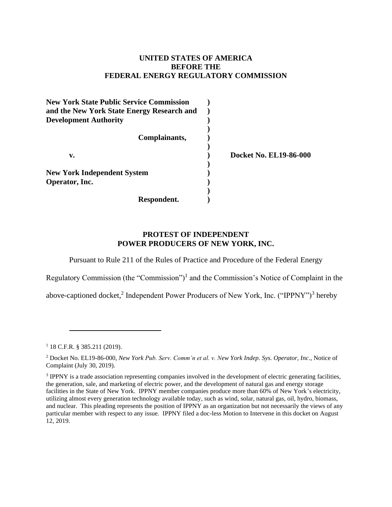# **UNITED STATES OF AMERICA BEFORE THE FEDERAL ENERGY REGULATORY COMMISSION**

| <b>New York State Public Service Commission</b><br>and the New York State Energy Research and |                               |
|-----------------------------------------------------------------------------------------------|-------------------------------|
| <b>Development Authority</b>                                                                  |                               |
| Complainants,                                                                                 |                               |
| v.                                                                                            | <b>Docket No. EL19-86-000</b> |
| <b>New York Independent System</b><br>Operator, Inc.                                          |                               |
| Respondent.                                                                                   |                               |

# **PROTEST OF INDEPENDENT POWER PRODUCERS OF NEW YORK, INC.**

Pursuant to Rule 211 of the Rules of Practice and Procedure of the Federal Energy

Regulatory Commission (the "Commission")<sup>1</sup> and the Commission's Notice of Complaint in the

above-captioned docket,<sup>2</sup> Independent Power Producers of New York, Inc. ("IPPNY")<sup>3</sup> hereby

<sup>1</sup> 18 C.F.R. § 385.211 (2019).

<sup>2</sup> Docket No. EL19-86-000, *New York Pub. Serv. Comm'n et al. v. New York Indep. Sys. Operator, Inc*., Notice of Complaint (July 30, 2019).

<sup>&</sup>lt;sup>3</sup> IPPNY is a trade association representing companies involved in the development of electric generating facilities, the generation, sale, and marketing of electric power, and the development of natural gas and energy storage facilities in the State of New York. IPPNY member companies produce more than 60% of New York's electricity, utilizing almost every generation technology available today, such as wind, solar, natural gas, oil, hydro, biomass, and nuclear. This pleading represents the position of IPPNY as an organization but not necessarily the views of any particular member with respect to any issue. IPPNY filed a doc-less Motion to Intervene in this docket on August 12, 2019.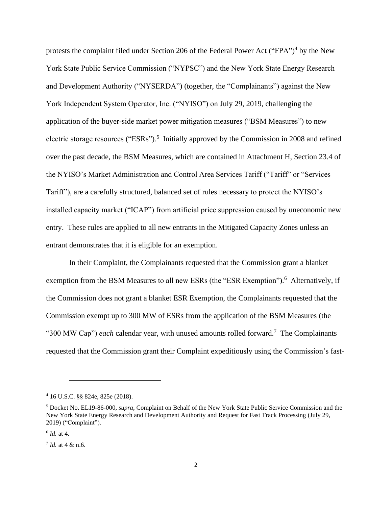protests the complaint filed under Section 206 of the Federal Power Act ("FPA")<sup>4</sup> by the New York State Public Service Commission ("NYPSC") and the New York State Energy Research and Development Authority ("NYSERDA") (together, the "Complainants") against the New York Independent System Operator, Inc. ("NYISO") on July 29, 2019, challenging the application of the buyer-side market power mitigation measures ("BSM Measures") to new electric storage resources ("ESRs").<sup>5</sup> Initially approved by the Commission in 2008 and refined over the past decade, the BSM Measures, which are contained in Attachment H, Section 23.4 of the NYISO's Market Administration and Control Area Services Tariff ("Tariff" or "Services Tariff"), are a carefully structured, balanced set of rules necessary to protect the NYISO's installed capacity market ("ICAP") from artificial price suppression caused by uneconomic new entry. These rules are applied to all new entrants in the Mitigated Capacity Zones unless an entrant demonstrates that it is eligible for an exemption.

In their Complaint, the Complainants requested that the Commission grant a blanket exemption from the BSM Measures to all new ESRs (the "ESR Exemption").<sup>6</sup> Alternatively, if the Commission does not grant a blanket ESR Exemption, the Complainants requested that the Commission exempt up to 300 MW of ESRs from the application of the BSM Measures (the "300 MW Cap") *each* calendar year, with unused amounts rolled forward.<sup>7</sup> The Complainants requested that the Commission grant their Complaint expeditiously using the Commission's fast-

<sup>4</sup> 16 U.S.C. §§ 824e, 825e (2018).

<sup>5</sup> Docket No. EL19-86-000, *supra*, Complaint on Behalf of the New York State Public Service Commission and the New York State Energy Research and Development Authority and Request for Fast Track Processing (July 29, 2019) ("Complaint").

<sup>6</sup> *Id.* at 4.

<sup>7</sup> *Id.* at 4 & n.6.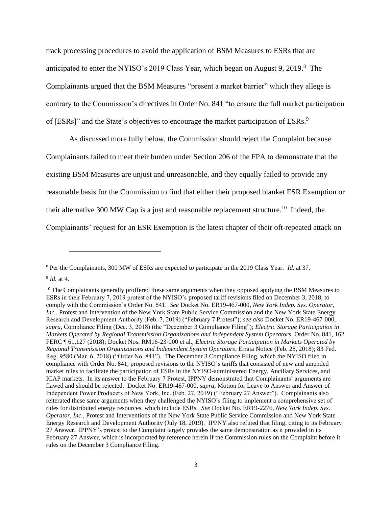track processing procedures to avoid the application of BSM Measures to ESRs that are anticipated to enter the NYISO's 2019 Class Year, which began on August 9, 2019.<sup>8</sup> The Complainants argued that the BSM Measures "present a market barrier" which they allege is contrary to the Commission's directives in Order No. 841 "to ensure the full market participation of [ESRs]" and the State's objectives to encourage the market participation of ESRs.<sup>9</sup>

As discussed more fully below, the Commission should reject the Complaint because Complainants failed to meet their burden under Section 206 of the FPA to demonstrate that the existing BSM Measures are unjust and unreasonable, and they equally failed to provide any reasonable basis for the Commission to find that either their proposed blanket ESR Exemption or their alternative 300 MW Cap is a just and reasonable replacement structure.<sup>10</sup> Indeed, the Complainants' request for an ESR Exemption is the latest chapter of their oft-repeated attack on

<sup>8</sup> Per the Complainants, 300 MW of ESRs are expected to participate in the 2019 Class Year. *Id*. at 37.

<sup>9</sup> *Id.* at 4.

<sup>&</sup>lt;sup>10</sup> The Complainants generally proffered these same arguments when they opposed applying the BSM Measures to ESRs in their February 7, 2019 protest of the NYISO's proposed tariff revisions filed on December 3, 2018, to comply with the Commission's Order No. 841. *See* Docket No. ER19-467-000, *New York Indep. Sys. Operator, Inc.*, Protest and Intervention of the New York State Public Service Commission and the New York State Energy Research and Development Authority (Feb. 7, 2019) ("February 7 Protest"); *see also* Docket No. ER19-467-000, *supra,* Compliance Filing (Dec. 3, 2018) (the "December 3 Compliance Filing"); *Electric Storage Participation in Markets Operated by Regional Transmission Organizations and Independent System Operators*, Order No. 841, 162 FERC ¶ 61,127 (2018); Docket Nos. RM16-23-000 et al., *Electric Storage Participation in Markets Operated by Regional Transmission Organizations and Independent System Operators*, Errata Notice (Feb. 28, 2018); 83 Fed. Reg. 9580 (Mar. 6, 2018) ("Order No. 841"). The December 3 Compliance Filing, which the NYISO filed in compliance with Order No. 841, proposed revisions to the NYISO's tariffs that consisted of new and amended market rules to facilitate the participation of ESRs in the NYISO-administered Energy, Ancillary Services, and ICAP markets. In its answer to the February 7 Protest, IPPNY demonstrated that Complainants' arguments are flawed and should be rejected. Docket No. ER19-467-000, *supra*, Motion for Leave to Answer and Answer of Independent Power Producers of New York, Inc. (Feb. 27, 2019) ("February 27 Answer"). Complainants also reiterated these same arguments when they challenged the NYISO's filing to implement a comprehensive set of rules for distributed energy resources, which include ESRs. *See* Docket No. ER19-2276, *New York Indep. Sys. Operator, Inc.*, Protest and Interventions of the New York State Public Service Commission and New York State Energy Research and Development Authority (July 18, 2019). IPPNY also refuted that filing, citing to its February 27 Answer. IPPNY's protest to the Complaint largely provides the same demonstration as it provided in its February 27 Answer, which is incorporated by reference herein if the Commission rules on the Complaint before it rules on the December 3 Compliance Filing.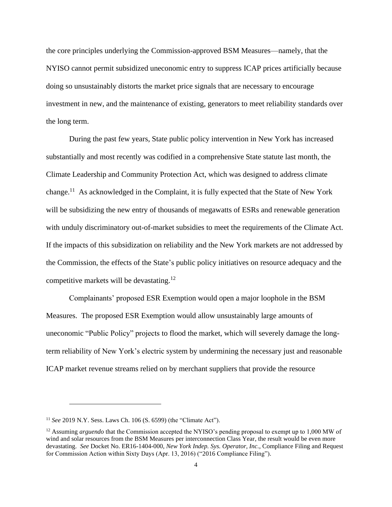the core principles underlying the Commission-approved BSM Measures—namely, that the NYISO cannot permit subsidized uneconomic entry to suppress ICAP prices artificially because doing so unsustainably distorts the market price signals that are necessary to encourage investment in new, and the maintenance of existing, generators to meet reliability standards over the long term.

During the past few years, State public policy intervention in New York has increased substantially and most recently was codified in a comprehensive State statute last month, the Climate Leadership and Community Protection Act, which was designed to address climate change.<sup>11</sup> As acknowledged in the Complaint, it is fully expected that the State of New York will be subsidizing the new entry of thousands of megawatts of ESRs and renewable generation with unduly discriminatory out-of-market subsidies to meet the requirements of the Climate Act. If the impacts of this subsidization on reliability and the New York markets are not addressed by the Commission, the effects of the State's public policy initiatives on resource adequacy and the competitive markets will be devastating.<sup>12</sup>

Complainants' proposed ESR Exemption would open a major loophole in the BSM Measures. The proposed ESR Exemption would allow unsustainably large amounts of uneconomic "Public Policy" projects to flood the market, which will severely damage the longterm reliability of New York's electric system by undermining the necessary just and reasonable ICAP market revenue streams relied on by merchant suppliers that provide the resource

<sup>11</sup> *See* 2019 N.Y. Sess. Laws Ch. 106 (S. 6599) (the "Climate Act").

<sup>&</sup>lt;sup>12</sup> Assuming *arguendo* that the Commission accepted the NYISO's pending proposal to exempt up to 1,000 MW of wind and solar resources from the BSM Measures per interconnection Class Year, the result would be even more devastating. *See* Docket No. ER16-1404-000, *New York Indep. Sys. Operator, Inc.*, Compliance Filing and Request for Commission Action within Sixty Days (Apr. 13, 2016) ("2016 Compliance Filing").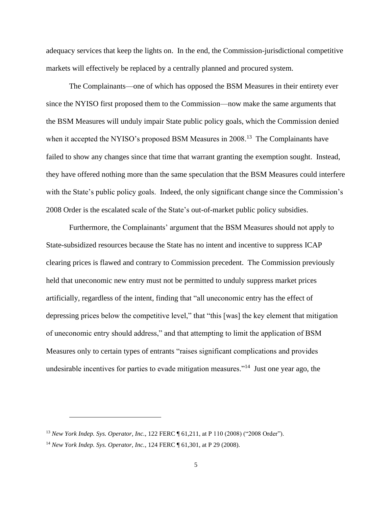adequacy services that keep the lights on. In the end, the Commission-jurisdictional competitive markets will effectively be replaced by a centrally planned and procured system.

The Complainants—one of which has opposed the BSM Measures in their entirety ever since the NYISO first proposed them to the Commission—now make the same arguments that the BSM Measures will unduly impair State public policy goals, which the Commission denied when it accepted the NYISO's proposed BSM Measures in 2008.<sup>13</sup> The Complainants have failed to show any changes since that time that warrant granting the exemption sought. Instead, they have offered nothing more than the same speculation that the BSM Measures could interfere with the State's public policy goals. Indeed, the only significant change since the Commission's 2008 Order is the escalated scale of the State's out-of-market public policy subsidies.

Furthermore, the Complainants' argument that the BSM Measures should not apply to State-subsidized resources because the State has no intent and incentive to suppress ICAP clearing prices is flawed and contrary to Commission precedent. The Commission previously held that uneconomic new entry must not be permitted to unduly suppress market prices artificially, regardless of the intent, finding that "all uneconomic entry has the effect of depressing prices below the competitive level," that "this [was] the key element that mitigation of uneconomic entry should address," and that attempting to limit the application of BSM Measures only to certain types of entrants "raises significant complications and provides undesirable incentives for parties to evade mitigation measures."<sup>14</sup> Just one year ago, the

<sup>13</sup> *New York Indep. Sys. Operator, Inc.*, 122 FERC ¶ 61,211, at P 110 (2008) ("2008 Order").

<sup>14</sup> *New York Indep. Sys. Operator, Inc.*, 124 FERC ¶ 61,301, at P 29 (2008).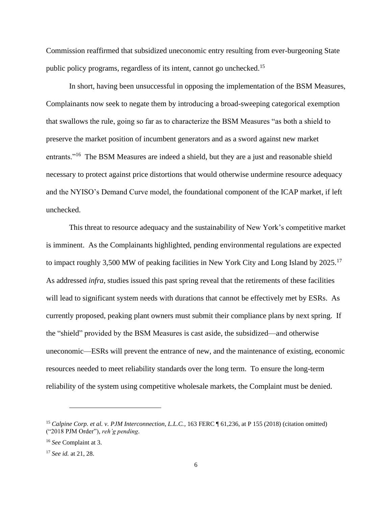Commission reaffirmed that subsidized uneconomic entry resulting from ever-burgeoning State public policy programs, regardless of its intent, cannot go unchecked.<sup>15</sup>

In short, having been unsuccessful in opposing the implementation of the BSM Measures, Complainants now seek to negate them by introducing a broad-sweeping categorical exemption that swallows the rule, going so far as to characterize the BSM Measures "as both a shield to preserve the market position of incumbent generators and as a sword against new market entrants."<sup>16</sup> The BSM Measures are indeed a shield, but they are a just and reasonable shield necessary to protect against price distortions that would otherwise undermine resource adequacy and the NYISO's Demand Curve model, the foundational component of the ICAP market, if left unchecked.

This threat to resource adequacy and the sustainability of New York's competitive market is imminent. As the Complainants highlighted, pending environmental regulations are expected to impact roughly 3,500 MW of peaking facilities in New York City and Long Island by 2025.<sup>17</sup> As addressed *infra*, studies issued this past spring reveal that the retirements of these facilities will lead to significant system needs with durations that cannot be effectively met by ESRs. As currently proposed, peaking plant owners must submit their compliance plans by next spring. If the "shield" provided by the BSM Measures is cast aside, the subsidized—and otherwise uneconomic—ESRs will prevent the entrance of new, and the maintenance of existing, economic resources needed to meet reliability standards over the long term. To ensure the long-term reliability of the system using competitive wholesale markets, the Complaint must be denied.

<sup>&</sup>lt;sup>15</sup> Calpine Corp. et al. v. PJM Interconnection, L.L.C., 163 FERC ¶ 61,236, at P 155 (2018) (citation omitted) ("2018 PJM Order"), *reh'g pending*.

<sup>16</sup> *See* Complaint at 3.

<sup>17</sup> *See id.* at 21, 28.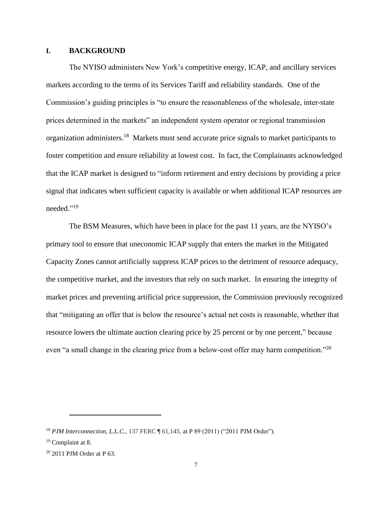#### **I. BACKGROUND**

The NYISO administers New York's competitive energy, ICAP, and ancillary services markets according to the terms of its Services Tariff and reliability standards. One of the Commission's guiding principles is "to ensure the reasonableness of the wholesale, inter-state prices determined in the markets" an independent system operator or regional transmission organization administers.<sup>18</sup> Markets must send accurate price signals to market participants to foster competition and ensure reliability at lowest cost. In fact, the Complainants acknowledged that the ICAP market is designed to "inform retirement and entry decisions by providing a price signal that indicates when sufficient capacity is available or when additional ICAP resources are needed." 19

The BSM Measures, which have been in place for the past 11 years, are the NYISO's primary tool to ensure that uneconomic ICAP supply that enters the market in the Mitigated Capacity Zones cannot artificially suppress ICAP prices to the detriment of resource adequacy, the competitive market, and the investors that rely on such market. In ensuring the integrity of market prices and preventing artificial price suppression, the Commission previously recognized that "mitigating an offer that is below the resource's actual net costs is reasonable, whether that resource lowers the ultimate auction clearing price by 25 percent or by one percent," because even "a small change in the clearing price from a below-cost offer may harm competition."<sup>20</sup>

<sup>18</sup> *PJM Interconnection, L.L.C.*, 137 FERC ¶ 61,145, at P 89 (2011) ("2011 PJM Order").

<sup>19</sup> Complaint at 8.

<sup>20</sup> 2011 PJM Order at P 63.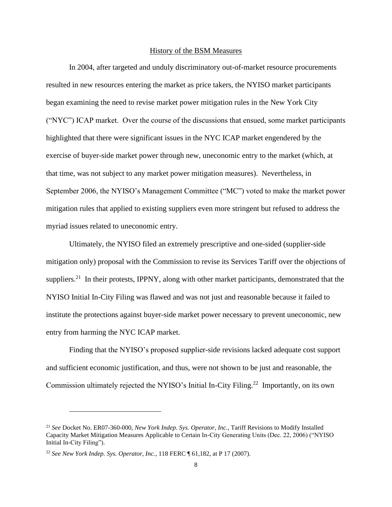#### History of the BSM Measures

In 2004, after targeted and unduly discriminatory out-of-market resource procurements resulted in new resources entering the market as price takers, the NYISO market participants began examining the need to revise market power mitigation rules in the New York City ("NYC") ICAP market. Over the course of the discussions that ensued, some market participants highlighted that there were significant issues in the NYC ICAP market engendered by the exercise of buyer-side market power through new, uneconomic entry to the market (which, at that time, was not subject to any market power mitigation measures). Nevertheless, in September 2006, the NYISO's Management Committee ("MC") voted to make the market power mitigation rules that applied to existing suppliers even more stringent but refused to address the myriad issues related to uneconomic entry.

Ultimately, the NYISO filed an extremely prescriptive and one-sided (supplier-side mitigation only) proposal with the Commission to revise its Services Tariff over the objections of suppliers.<sup>21</sup> In their protests, IPPNY, along with other market participants, demonstrated that the NYISO Initial In-City Filing was flawed and was not just and reasonable because it failed to institute the protections against buyer-side market power necessary to prevent uneconomic, new entry from harming the NYC ICAP market.

Finding that the NYISO's proposed supplier-side revisions lacked adequate cost support and sufficient economic justification, and thus, were not shown to be just and reasonable, the Commission ultimately rejected the NYISO's Initial In-City Filing.<sup>22</sup> Importantly, on its own

<sup>21</sup> *See* Docket No. ER07-360-000, *New York Indep. Sys. Operator, Inc.*, Tariff Revisions to Modify Installed Capacity Market Mitigation Measures Applicable to Certain In-City Generating Units (Dec. 22, 2006) ("NYISO Initial In-City Filing").

<sup>22</sup> *See New York Indep. Sys. Operator, Inc.*, 118 FERC ¶ 61,182, at P 17 (2007).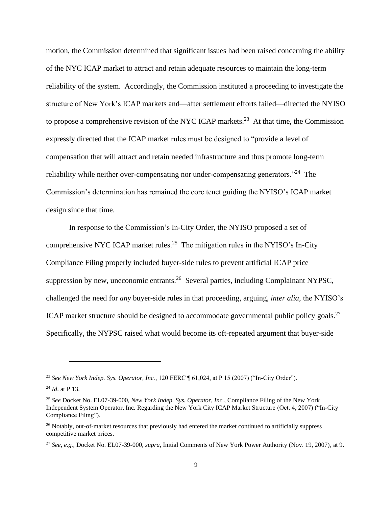motion, the Commission determined that significant issues had been raised concerning the ability of the NYC ICAP market to attract and retain adequate resources to maintain the long-term reliability of the system. Accordingly, the Commission instituted a proceeding to investigate the structure of New York's ICAP markets and—after settlement efforts failed—directed the NYISO to propose a comprehensive revision of the NYC ICAP markets.<sup>23</sup> At that time, the Commission expressly directed that the ICAP market rules must be designed to "provide a level of compensation that will attract and retain needed infrastructure and thus promote long-term reliability while neither over-compensating nor under-compensating generators."<sup>24</sup> The Commission's determination has remained the core tenet guiding the NYISO's ICAP market design since that time.

In response to the Commission's In-City Order, the NYISO proposed a set of comprehensive NYC ICAP market rules.<sup>25</sup> The mitigation rules in the NYISO's In-City Compliance Filing properly included buyer-side rules to prevent artificial ICAP price suppression by new, uneconomic entrants.<sup>26</sup> Several parties, including Complainant NYPSC, challenged the need for *any* buyer-side rules in that proceeding, arguing, *inter alia*, the NYISO's ICAP market structure should be designed to accommodate governmental public policy goals.<sup>27</sup> Specifically, the NYPSC raised what would become its oft-repeated argument that buyer-side

<sup>23</sup> *See New York Indep. Sys. Operator, Inc.*, 120 FERC ¶ 61,024, at P 15 (2007) ("In-City Order").

<sup>24</sup> *Id*. at P 13.

<sup>25</sup> *See* Docket No. EL07-39-000, *New York Indep. Sys. Operator, Inc.*, Compliance Filing of the New York Independent System Operator, Inc. Regarding the New York City ICAP Market Structure (Oct. 4, 2007) ("In-City Compliance Filing").

<sup>&</sup>lt;sup>26</sup> Notably, out-of-market resources that previously had entered the market continued to artificially suppress competitive market prices.

<sup>27</sup> *See, e.g.*, Docket No. EL07-39-000, *supra*, Initial Comments of New York Power Authority (Nov. 19, 2007), at 9.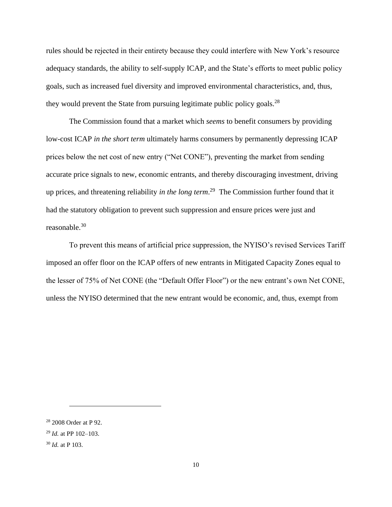rules should be rejected in their entirety because they could interfere with New York's resource adequacy standards, the ability to self-supply ICAP, and the State's efforts to meet public policy goals, such as increased fuel diversity and improved environmental characteristics, and, thus, they would prevent the State from pursuing legitimate public policy goals.<sup>28</sup>

The Commission found that a market which *seems* to benefit consumers by providing low-cost ICAP *in the short term* ultimately harms consumers by permanently depressing ICAP prices below the net cost of new entry ("Net CONE"), preventing the market from sending accurate price signals to new, economic entrants, and thereby discouraging investment, driving up prices, and threatening reliability *in the long term*. 29 The Commission further found that it had the statutory obligation to prevent such suppression and ensure prices were just and reasonable.<sup>30</sup>

To prevent this means of artificial price suppression, the NYISO's revised Services Tariff imposed an offer floor on the ICAP offers of new entrants in Mitigated Capacity Zones equal to the lesser of 75% of Net CONE (the "Default Offer Floor") or the new entrant's own Net CONE, unless the NYISO determined that the new entrant would be economic, and, thus, exempt from

<sup>28</sup> 2008 Order at P 92.

<sup>29</sup> *Id.* at PP 102–103.

<sup>30</sup> *Id.* at P 103.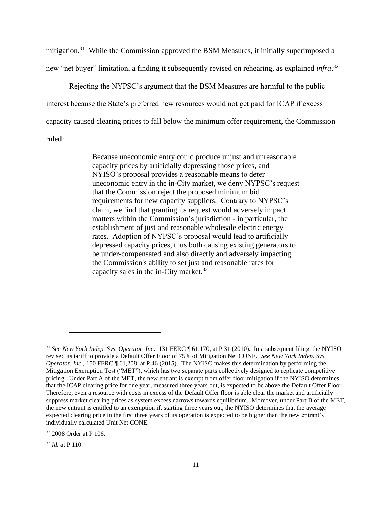mitigation.<sup>31</sup> While the Commission approved the BSM Measures, it initially superimposed a new "net buyer" limitation, a finding it subsequently revised on rehearing, as explained *infra*. 32

Rejecting the NYPSC's argument that the BSM Measures are harmful to the public interest because the State's preferred new resources would not get paid for ICAP if excess capacity caused clearing prices to fall below the minimum offer requirement, the Commission ruled:

> Because uneconomic entry could produce unjust and unreasonable capacity prices by artificially depressing those prices, and NYISO's proposal provides a reasonable means to deter uneconomic entry in the in-City market, we deny NYPSC's request that the Commission reject the proposed minimum bid requirements for new capacity suppliers. Contrary to NYPSC's claim, we find that granting its request would adversely impact matters within the Commission's jurisdiction - in particular, the establishment of just and reasonable wholesale electric energy rates. Adoption of NYPSC's proposal would lead to artificially depressed capacity prices, thus both causing existing generators to be under-compensated and also directly and adversely impacting the Commission's ability to set just and reasonable rates for capacity sales in the in-City market. $33$

<sup>&</sup>lt;sup>31</sup> See New York Indep. Sys. Operator, Inc., 131 FERC ¶ 61,170, at P 31 (2010). In a subsequent filing, the NYISO revised its tariff to provide a Default Offer Floor of 75% of Mitigation Net CONE. *See New York Indep. Sys. Operator, Inc*., 150 FERC ¶ 61,208, at P 46 (2015). The NYISO makes this determination by performing the Mitigation Exemption Test ("MET"), which has two separate parts collectively designed to replicate competitive pricing. Under Part A of the MET, the new entrant is exempt from offer floor mitigation if the NYISO determines that the ICAP clearing price for one year, measured three years out, is expected to be above the Default Offer Floor. Therefore, even a resource with costs in excess of the Default Offer floor is able clear the market and artificially suppress market clearing prices as system excess narrows towards equilibrium. Moreover, under Part B of the MET, the new entrant is entitled to an exemption if, starting three years out, the NYISO determines that the average expected clearing price in the first three years of its operation is expected to be higher than the new entrant's individually calculated Unit Net CONE.

<sup>32</sup> 2008 Order at P 106.

<sup>33</sup> *Id.* at P 110.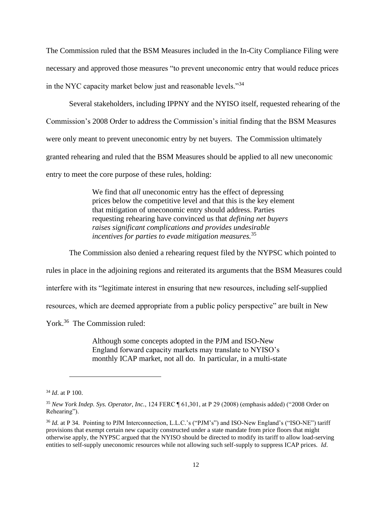The Commission ruled that the BSM Measures included in the In-City Compliance Filing were necessary and approved those measures "to prevent uneconomic entry that would reduce prices in the NYC capacity market below just and reasonable levels."<sup>34</sup>

Several stakeholders, including IPPNY and the NYISO itself, requested rehearing of the Commission's 2008 Order to address the Commission's initial finding that the BSM Measures were only meant to prevent uneconomic entry by net buyers. The Commission ultimately granted rehearing and ruled that the BSM Measures should be applied to all new uneconomic entry to meet the core purpose of these rules, holding:

> We find that *all* uneconomic entry has the effect of depressing prices below the competitive level and that this is the key element that mitigation of uneconomic entry should address. Parties requesting rehearing have convinced us that *defining net buyers raises significant complications and provides undesirable incentives for parties to evade mitigation measures.*<sup>35</sup>

The Commission also denied a rehearing request filed by the NYPSC which pointed to rules in place in the adjoining regions and reiterated its arguments that the BSM Measures could interfere with its "legitimate interest in ensuring that new resources, including self-supplied resources, which are deemed appropriate from a public policy perspective" are built in New York.<sup>36</sup> The Commission ruled:

> Although some concepts adopted in the PJM and ISO-New England forward capacity markets may translate to NYISO's monthly ICAP market, not all do. In particular, in a multi-state

<sup>34</sup> *Id*. at P 100.

<sup>35</sup> *New York Indep. Sys. Operator, Inc.*, 124 FERC ¶ 61,301, at P 29 (2008) (emphasis added) ("2008 Order on Rehearing").

<sup>&</sup>lt;sup>36</sup> *Id.* at P 34. Pointing to PJM Interconnection, L.L.C.'s ("PJM's") and ISO-New England's ("ISO-NE") tariff provisions that exempt certain new capacity constructed under a state mandate from price floors that might otherwise apply, the NYPSC argued that the NYISO should be directed to modify its tariff to allow load-serving entities to self-supply uneconomic resources while not allowing such self-supply to suppress ICAP prices. *Id*.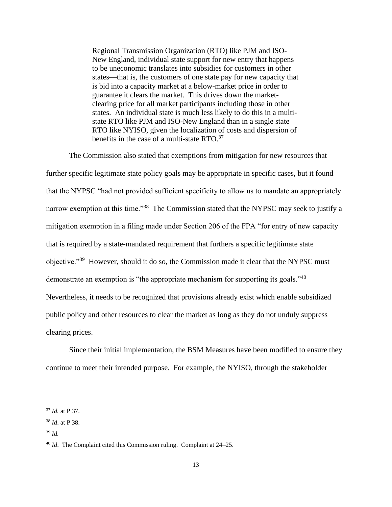Regional Transmission Organization (RTO) like PJM and ISO-New England, individual state support for new entry that happens to be uneconomic translates into subsidies for customers in other states—that is, the customers of one state pay for new capacity that is bid into a capacity market at a below-market price in order to guarantee it clears the market. This drives down the marketclearing price for all market participants including those in other states. An individual state is much less likely to do this in a multistate RTO like PJM and ISO-New England than in a single state RTO like NYISO, given the localization of costs and dispersion of benefits in the case of a multi-state RTO.<sup>37</sup>

The Commission also stated that exemptions from mitigation for new resources that further specific legitimate state policy goals may be appropriate in specific cases, but it found that the NYPSC "had not provided sufficient specificity to allow us to mandate an appropriately narrow exemption at this time."<sup>38</sup> The Commission stated that the NYPSC may seek to justify a mitigation exemption in a filing made under Section 206 of the FPA "for entry of new capacity that is required by a state-mandated requirement that furthers a specific legitimate state objective."<sup>39</sup> However, should it do so, the Commission made it clear that the NYPSC must demonstrate an exemption is "the appropriate mechanism for supporting its goals."<sup>40</sup> Nevertheless, it needs to be recognized that provisions already exist which enable subsidized public policy and other resources to clear the market as long as they do not unduly suppress clearing prices.

Since their initial implementation, the BSM Measures have been modified to ensure they continue to meet their intended purpose. For example, the NYISO, through the stakeholder

<sup>37</sup> *Id.* at P 37.

<sup>38</sup> *Id*. at P 38.

<sup>39</sup> *Id.*

<sup>40</sup> *Id*. The Complaint cited this Commission ruling. Complaint at 24–25.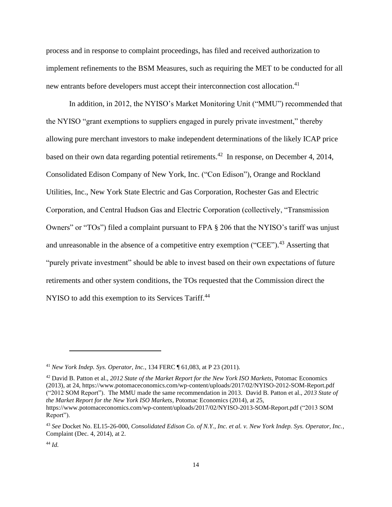process and in response to complaint proceedings, has filed and received authorization to implement refinements to the BSM Measures, such as requiring the MET to be conducted for all new entrants before developers must accept their interconnection cost allocation.<sup>41</sup>

In addition, in 2012, the NYISO's Market Monitoring Unit ("MMU") recommended that the NYISO "grant exemptions to suppliers engaged in purely private investment," thereby allowing pure merchant investors to make independent determinations of the likely ICAP price based on their own data regarding potential retirements.<sup>42</sup> In response, on December 4, 2014, Consolidated Edison Company of New York, Inc. ("Con Edison"), Orange and Rockland Utilities, Inc., New York State Electric and Gas Corporation, Rochester Gas and Electric Corporation, and Central Hudson Gas and Electric Corporation (collectively, "Transmission Owners" or "TOs") filed a complaint pursuant to FPA § 206 that the NYISO's tariff was unjust and unreasonable in the absence of a competitive entry exemption ("CEE").<sup>43</sup> Asserting that "purely private investment" should be able to invest based on their own expectations of future retirements and other system conditions, the TOs requested that the Commission direct the NYISO to add this exemption to its Services Tariff.<sup>44</sup>

<sup>42</sup> David B. Patton et al., *2012 State of the Market Report for the New York ISO Markets*, Potomac Economics (2013), at 24, https://www.potomaceconomics.com/wp-content/uploads/2017/02/NYISO-2012-SOM-Report.pdf ("2012 SOM Report"). The MMU made the same recommendation in 2013. David B. Patton et al., *2013 State of the Market Report for the New York ISO Markets*, Potomac Economics (2014), at 25, https://www.potomaceconomics.com/wp-content/uploads/2017/02/NYISO-2013-SOM-Report.pdf ("2013 SOM Report").

<sup>41</sup> *New York Indep. Sys. Operator, Inc.*, 134 FERC ¶ 61,083, at P 23 (2011).

<sup>43</sup> *See* Docket No. EL15-26-000, *Consolidated Edison Co. of N.Y., Inc. et al. v. New York Indep. Sys. Operator, Inc.*, Complaint (Dec. 4, 2014), at 2.

<sup>44</sup> *Id.*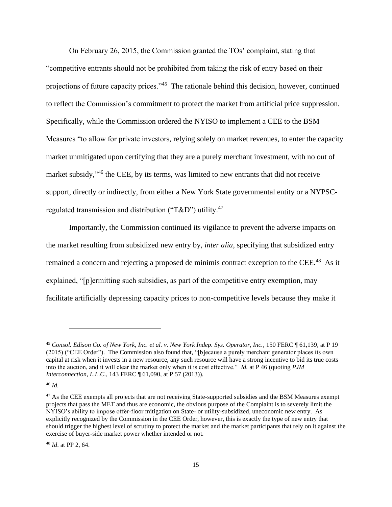On February 26, 2015, the Commission granted the TOs' complaint, stating that "competitive entrants should not be prohibited from taking the risk of entry based on their projections of future capacity prices."<sup>45</sup> The rationale behind this decision, however, continued to reflect the Commission's commitment to protect the market from artificial price suppression. Specifically, while the Commission ordered the NYISO to implement a CEE to the BSM Measures "to allow for private investors, relying solely on market revenues, to enter the capacity market unmitigated upon certifying that they are a purely merchant investment, with no out of market subsidy,"<sup>46</sup> the CEE, by its terms, was limited to new entrants that did not receive support, directly or indirectly, from either a New York State governmental entity or a NYPSCregulated transmission and distribution ("T&D") utility.<sup>47</sup>

Importantly, the Commission continued its vigilance to prevent the adverse impacts on the market resulting from subsidized new entry by, *inter alia*, specifying that subsidized entry remained a concern and rejecting a proposed de minimis contract exception to the CEE.<sup>48</sup> As it explained, "[p]ermitting such subsidies, as part of the competitive entry exemption, may facilitate artificially depressing capacity prices to non-competitive levels because they make it

<sup>46</sup> *Id.*

<sup>48</sup> *Id*. at PP 2, 64.

<sup>45</sup> *Consol. Edison Co. of New York, Inc. et al. v. New York Indep. Sys. Operator, Inc.*, 150 FERC ¶ 61,139, at P 19 (2015) ("CEE Order"). The Commission also found that, "[b]ecause a purely merchant generator places its own capital at risk when it invests in a new resource, any such resource will have a strong incentive to bid its true costs into the auction, and it will clear the market only when it is cost effective." *Id.* at P 46 (quoting *PJM Interconnection, L.L.C.*, 143 FERC ¶ 61,090, at P 57 (2013)).

<sup>&</sup>lt;sup>47</sup> As the CEE exempts all projects that are not receiving State-supported subsidies and the BSM Measures exempt projects that pass the MET and thus are economic, the obvious purpose of the Complaint is to severely limit the NYISO's ability to impose offer-floor mitigation on State- or utility-subsidized, uneconomic new entry. As explicitly recognized by the Commission in the CEE Order, however, this is exactly the type of new entry that should trigger the highest level of scrutiny to protect the market and the market participants that rely on it against the exercise of buyer-side market power whether intended or not.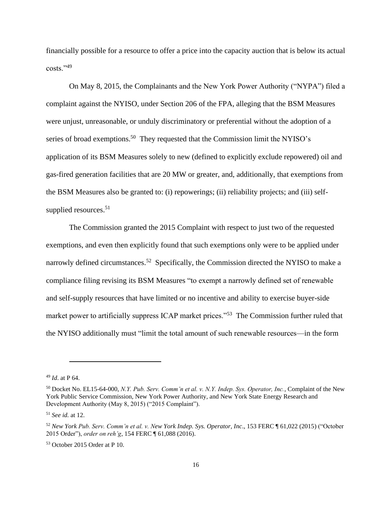financially possible for a resource to offer a price into the capacity auction that is below its actual costs."<sup>49</sup>

On May 8, 2015, the Complainants and the New York Power Authority ("NYPA") filed a complaint against the NYISO, under Section 206 of the FPA, alleging that the BSM Measures were unjust, unreasonable, or unduly discriminatory or preferential without the adoption of a series of broad exemptions.<sup>50</sup> They requested that the Commission limit the NYISO's application of its BSM Measures solely to new (defined to explicitly exclude repowered) oil and gas-fired generation facilities that are 20 MW or greater, and, additionally, that exemptions from the BSM Measures also be granted to: (i) repowerings; (ii) reliability projects; and (iii) selfsupplied resources.<sup>51</sup>

The Commission granted the 2015 Complaint with respect to just two of the requested exemptions, and even then explicitly found that such exemptions only were to be applied under narrowly defined circumstances.<sup>52</sup> Specifically, the Commission directed the NYISO to make a compliance filing revising its BSM Measures "to exempt a narrowly defined set of renewable and self-supply resources that have limited or no incentive and ability to exercise buyer-side market power to artificially suppress ICAP market prices."<sup>53</sup> The Commission further ruled that the NYISO additionally must "limit the total amount of such renewable resources—in the form

<sup>49</sup> *Id*. at P 64.

<sup>50</sup> Docket No. EL15-64-000, *N.Y. Pub. Serv. Comm'n et al. v. N.Y. Indep. Sys. Operator, Inc.*, Complaint of the New York Public Service Commission, New York Power Authority, and New York State Energy Research and Development Authority (May 8, 2015) ("2015 Complaint").

<sup>51</sup> *See id.* at 12.

<sup>52</sup> *New York Pub. Serv. Comm'n et al. v. New York Indep. Sys. Operator, Inc*., 153 FERC ¶ 61,022 (2015) ("October 2015 Order"), *order on reh'g*, 154 FERC ¶ 61,088 (2016).

<sup>53</sup> October 2015 Order at P 10.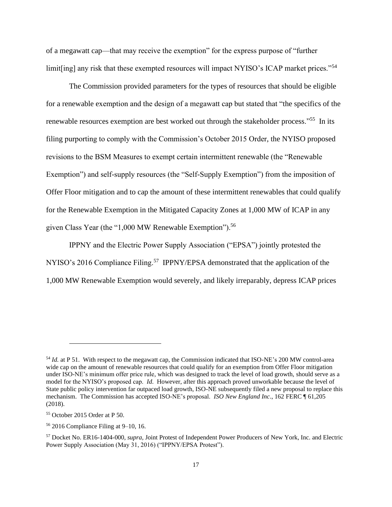of a megawatt cap—that may receive the exemption" for the express purpose of "further limit[ing] any risk that these exempted resources will impact NYISO's ICAP market prices."<sup>54</sup>

The Commission provided parameters for the types of resources that should be eligible for a renewable exemption and the design of a megawatt cap but stated that "the specifics of the renewable resources exemption are best worked out through the stakeholder process."<sup>55</sup> In its filing purporting to comply with the Commission's October 2015 Order, the NYISO proposed revisions to the BSM Measures to exempt certain intermittent renewable (the "Renewable Exemption") and self-supply resources (the "Self-Supply Exemption") from the imposition of Offer Floor mitigation and to cap the amount of these intermittent renewables that could qualify for the Renewable Exemption in the Mitigated Capacity Zones at 1,000 MW of ICAP in any given Class Year (the "1,000 MW Renewable Exemption").<sup>56</sup>

IPPNY and the Electric Power Supply Association ("EPSA") jointly protested the NYISO's 2016 Compliance Filing.<sup>57</sup> IPPNY/EPSA demonstrated that the application of the 1,000 MW Renewable Exemption would severely, and likely irreparably, depress ICAP prices

<sup>&</sup>lt;sup>54</sup> *Id.* at P 51. With respect to the megawatt cap, the Commission indicated that ISO-NE's 200 MW control-area wide cap on the amount of renewable resources that could qualify for an exemption from Offer Floor mitigation under ISO-NE's minimum offer price rule, which was designed to track the level of load growth, should serve as a model for the NYISO's proposed cap. *Id*. However, after this approach proved unworkable because the level of State public policy intervention far outpaced load growth, ISO-NE subsequently filed a new proposal to replace this mechanism. The Commission has accepted ISO-NE's proposal. *ISO New England Inc*., 162 FERC ¶ 61,205 (2018).

<sup>55</sup> October 2015 Order at P 50.

<sup>56</sup> 2016 Compliance Filing at 9–10, 16.

<sup>57</sup> Docket No. ER16-1404-000, *supra*, Joint Protest of Independent Power Producers of New York, Inc. and Electric Power Supply Association (May 31, 2016) ("IPPNY/EPSA Protest").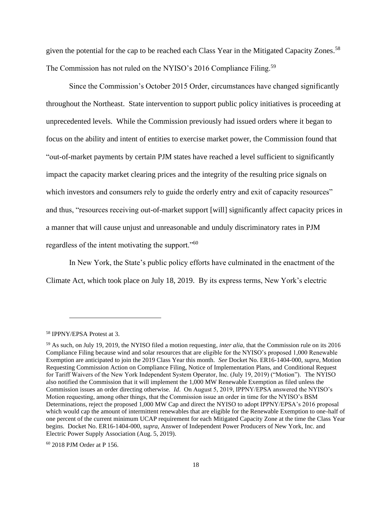given the potential for the cap to be reached each Class Year in the Mitigated Capacity Zones.<sup>58</sup> The Commission has not ruled on the NYISO's 2016 Compliance Filing.<sup>59</sup>

Since the Commission's October 2015 Order, circumstances have changed significantly throughout the Northeast. State intervention to support public policy initiatives is proceeding at unprecedented levels. While the Commission previously had issued orders where it began to focus on the ability and intent of entities to exercise market power, the Commission found that "out-of-market payments by certain PJM states have reached a level sufficient to significantly impact the capacity market clearing prices and the integrity of the resulting price signals on which investors and consumers rely to guide the orderly entry and exit of capacity resources" and thus, "resources receiving out-of-market support [will] significantly affect capacity prices in a manner that will cause unjust and unreasonable and unduly discriminatory rates in PJM regardless of the intent motivating the support."<sup>60</sup>

In New York, the State's public policy efforts have culminated in the enactment of the Climate Act, which took place on July 18, 2019. By its express terms, New York's electric

<sup>58</sup> IPPNY/EPSA Protest at 3.

<sup>59</sup> As such, on July 19, 2019, the NYISO filed a motion requesting, *inter alia*, that the Commission rule on its 2016 Compliance Filing because wind and solar resources that are eligible for the NYISO's proposed 1,000 Renewable Exemption are anticipated to join the 2019 Class Year this month. *See* Docket No. ER16-1404-000, *supra*, Motion Requesting Commission Action on Compliance Filing, Notice of Implementation Plans, and Conditional Request for Tariff Waivers of the New York Independent System Operator, Inc. (July 19, 2019) ("Motion"). The NYISO also notified the Commission that it will implement the 1,000 MW Renewable Exemption as filed unless the Commission issues an order directing otherwise. *Id*. On August 5, 2019, IPPNY/EPSA answered the NYISO's Motion requesting, among other things, that the Commission issue an order in time for the NYISO's BSM Determinations, reject the proposed 1,000 MW Cap and direct the NYISO to adopt IPPNY/EPSA's 2016 proposal which would cap the amount of intermittent renewables that are eligible for the Renewable Exemption to one-half of one percent of the current minimum UCAP requirement for each Mitigated Capacity Zone at the time the Class Year begins. Docket No. ER16-1404-000, *supra*, Answer of Independent Power Producers of New York, Inc. and Electric Power Supply Association (Aug. 5, 2019).

<sup>60</sup> 2018 PJM Order at P 156.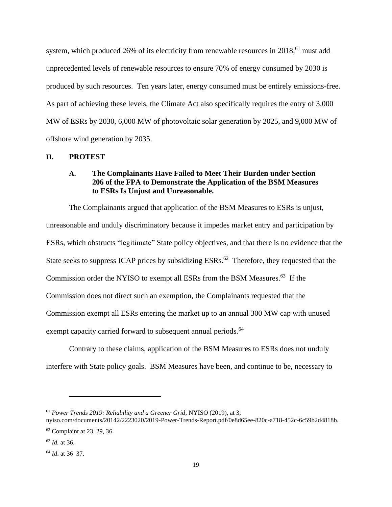system, which produced 26% of its electricity from renewable resources in 2018,<sup>61</sup> must add unprecedented levels of renewable resources to ensure 70% of energy consumed by 2030 is produced by such resources. Ten years later, energy consumed must be entirely emissions-free. As part of achieving these levels, the Climate Act also specifically requires the entry of 3,000 MW of ESRs by 2030, 6,000 MW of photovoltaic solar generation by 2025, and 9,000 MW of offshore wind generation by 2035.

### **II. PROTEST**

# **A. The Complainants Have Failed to Meet Their Burden under Section 206 of the FPA to Demonstrate the Application of the BSM Measures to ESRs Is Unjust and Unreasonable.**

The Complainants argued that application of the BSM Measures to ESRs is unjust, unreasonable and unduly discriminatory because it impedes market entry and participation by ESRs, which obstructs "legitimate" State policy objectives, and that there is no evidence that the State seeks to suppress ICAP prices by subsidizing  $ESRs.<sup>62</sup>$  Therefore, they requested that the Commission order the NYISO to exempt all ESRs from the BSM Measures. <sup>63</sup> If the Commission does not direct such an exemption, the Complainants requested that the Commission exempt all ESRs entering the market up to an annual 300 MW cap with unused exempt capacity carried forward to subsequent annual periods.<sup>64</sup>

Contrary to these claims, application of the BSM Measures to ESRs does not unduly interfere with State policy goals. BSM Measures have been, and continue to be, necessary to

<sup>61</sup> *Power Trends 2019: Reliability and a Greener Grid*, NYISO (2019), at 3,

nyiso.com/documents/20142/2223020/2019-Power-Trends-Report.pdf/0e8d65ee-820c-a718-452c-6c59b2d4818b.

<sup>62</sup> Complaint at 23, 29, 36.

<sup>63</sup> *Id.* at 36.

<sup>64</sup> *Id*. at 36–37.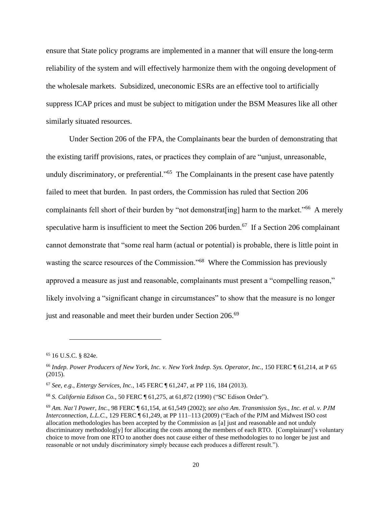ensure that State policy programs are implemented in a manner that will ensure the long-term reliability of the system and will effectively harmonize them with the ongoing development of the wholesale markets. Subsidized, uneconomic ESRs are an effective tool to artificially suppress ICAP prices and must be subject to mitigation under the BSM Measures like all other similarly situated resources.

Under Section 206 of the FPA, the Complainants bear the burden of demonstrating that the existing tariff provisions, rates, or practices they complain of are "unjust, unreasonable, unduly discriminatory, or preferential."<sup>65</sup> The Complainants in the present case have patently failed to meet that burden. In past orders, the Commission has ruled that Section 206 complainants fell short of their burden by "not demonstrat[ing] harm to the market."<sup>66</sup> A merely speculative harm is insufficient to meet the Section 206 burden.<sup>67</sup> If a Section 206 complainant cannot demonstrate that "some real harm (actual or potential) is probable, there is little point in wasting the scarce resources of the Commission."<sup>68</sup> Where the Commission has previously approved a measure as just and reasonable, complainants must present a "compelling reason," likely involving a "significant change in circumstances" to show that the measure is no longer just and reasonable and meet their burden under Section 206.<sup>69</sup>

<sup>65</sup> 16 U.S.C. § 824e.

<sup>66</sup> *Indep. Power Producers of New York, Inc. v. New York Indep. Sys. Operator, Inc.*, 150 FERC ¶ 61,214, at P 65 (2015).

<sup>67</sup> *See, e.g.*, *Entergy Services, Inc.*, 145 FERC ¶ 61,247, at PP 116, 184 (2013).

<sup>68</sup> *S. California Edison Co.*, 50 FERC ¶ 61,275, at 61,872 (1990) ("SC Edison Order").

<sup>69</sup> *Am. Nat'l Power, Inc.*, 98 FERC ¶ 61,154, at 61,549 (2002); *see also Am. Transmission Sys., Inc. et al. v. PJM Interconnection, L.L.C.*, 129 FERC ¶ 61,249, at PP 111–113 (2009) ("Each of the PJM and Midwest ISO cost allocation methodologies has been accepted by the Commission as [a] just and reasonable and not unduly discriminatory methodolog[y] for allocating the costs among the members of each RTO. [Complainant]'s voluntary choice to move from one RTO to another does not cause either of these methodologies to no longer be just and reasonable or not unduly discriminatory simply because each produces a different result.").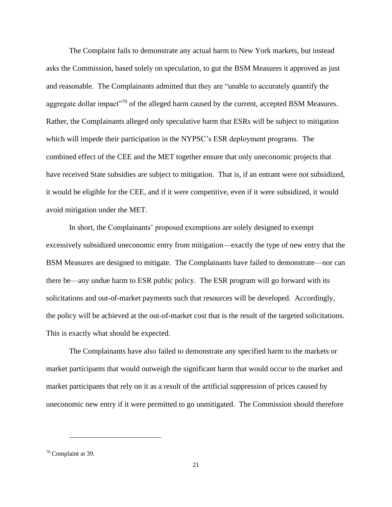The Complaint fails to demonstrate any actual harm to New York markets, but instead asks the Commission, based solely on speculation, to gut the BSM Measures it approved as just and reasonable. The Complainants admitted that they are "unable to accurately quantify the aggregate dollar impact<sup>770</sup> of the alleged harm caused by the current, accepted BSM Measures. Rather, the Complainants alleged only speculative harm that ESRs will be subject to mitigation which will impede their participation in the NYPSC's ESR deployment programs. The combined effect of the CEE and the MET together ensure that only uneconomic projects that have received State subsidies are subject to mitigation. That is, if an entrant were not subsidized, it would be eligible for the CEE, and if it were competitive, even if it were subsidized, it would avoid mitigation under the MET.

In short, the Complainants' proposed exemptions are solely designed to exempt excessively subsidized uneconomic entry from mitigation—exactly the type of new entry that the BSM Measures are designed to mitigate. The Complainants have failed to demonstrate—nor can there be—any undue harm to ESR public policy. The ESR program will go forward with its solicitations and out-of-market payments such that resources will be developed. Accordingly, the policy will be achieved at the out-of-market cost that is the result of the targeted solicitations. This is exactly what should be expected.

The Complainants have also failed to demonstrate any specified harm to the markets or market participants that would outweigh the significant harm that would occur to the market and market participants that rely on it as a result of the artificial suppression of prices caused by uneconomic new entry if it were permitted to go unmitigated. The Commission should therefore

<sup>70</sup> Complaint at 39.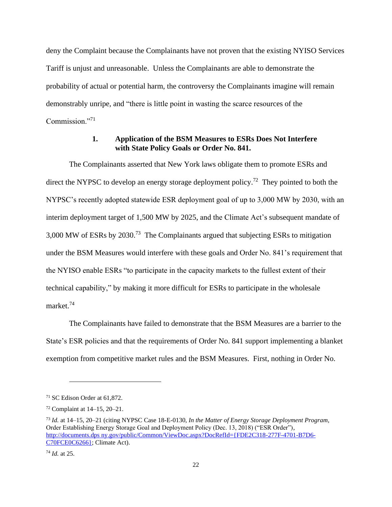deny the Complaint because the Complainants have not proven that the existing NYISO Services Tariff is unjust and unreasonable. Unless the Complainants are able to demonstrate the probability of actual or potential harm, the controversy the Complainants imagine will remain demonstrably unripe, and "there is little point in wasting the scarce resources of the Commission<sup>"71</sup>

## **1. Application of the BSM Measures to ESRs Does Not Interfere with State Policy Goals or Order No. 841.**

The Complainants asserted that New York laws obligate them to promote ESRs and direct the NYPSC to develop an energy storage deployment policy.<sup>72</sup> They pointed to both the NYPSC's recently adopted statewide ESR deployment goal of up to 3,000 MW by 2030, with an interim deployment target of 1,500 MW by 2025, and the Climate Act's subsequent mandate of 3,000 MW of ESRs by 2030. 73 The Complainants argued that subjecting ESRs to mitigation under the BSM Measures would interfere with these goals and Order No. 841's requirement that the NYISO enable ESRs "to participate in the capacity markets to the fullest extent of their technical capability," by making it more difficult for ESRs to participate in the wholesale market.<sup>74</sup>

The Complainants have failed to demonstrate that the BSM Measures are a barrier to the State's ESR policies and that the requirements of Order No. 841 support implementing a blanket exemption from competitive market rules and the BSM Measures. First, nothing in Order No.

<sup>71</sup> SC Edison Order at 61,872.

<sup>72</sup> Complaint at 14–15, 20–21.

<sup>73</sup> *Id.* at 14–15, 20–21 (citing NYPSC Case 18-E-0130, *In the Matter of Energy Storage Deployment Program*, Order Establishing Energy Storage Goal and Deployment Policy (Dec. 13, 2018) ("ESR Order"), [http://documents.dps ny.gov/public/Common/ViewDoc.aspx?DocRefId={FDE2C318-277F-4701-B7D6-](http://documents.dps.ny.gov/public/Common/ViewDoc.aspx?DocRefId=%7bFDE2C318-277F-4701-B7D6-C70FCE0C6266%7d) [C70FCE0C6266};](http://documents.dps.ny.gov/public/Common/ViewDoc.aspx?DocRefId=%7bFDE2C318-277F-4701-B7D6-C70FCE0C6266%7d) Climate Act).

<sup>74</sup> *Id.* at 25.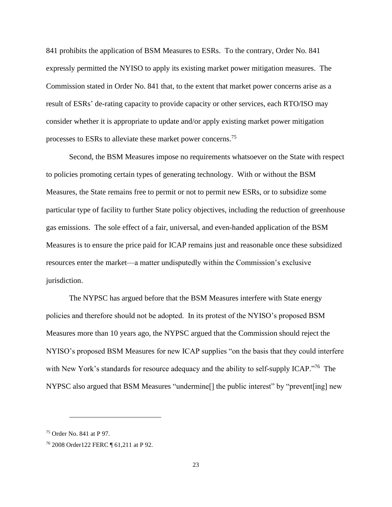841 prohibits the application of BSM Measures to ESRs. To the contrary, Order No. 841 expressly permitted the NYISO to apply its existing market power mitigation measures. The Commission stated in Order No. 841 that, to the extent that market power concerns arise as a result of ESRs' de-rating capacity to provide capacity or other services, each RTO/ISO may consider whether it is appropriate to update and/or apply existing market power mitigation processes to ESRs to alleviate these market power concerns.<sup>75</sup>

Second, the BSM Measures impose no requirements whatsoever on the State with respect to policies promoting certain types of generating technology. With or without the BSM Measures, the State remains free to permit or not to permit new ESRs, or to subsidize some particular type of facility to further State policy objectives, including the reduction of greenhouse gas emissions. The sole effect of a fair, universal, and even-handed application of the BSM Measures is to ensure the price paid for ICAP remains just and reasonable once these subsidized resources enter the market—a matter undisputedly within the Commission's exclusive jurisdiction.

The NYPSC has argued before that the BSM Measures interfere with State energy policies and therefore should not be adopted. In its protest of the NYISO's proposed BSM Measures more than 10 years ago, the NYPSC argued that the Commission should reject the NYISO's proposed BSM Measures for new ICAP supplies "on the basis that they could interfere with New York's standards for resource adequacy and the ability to self-supply ICAP."<sup>76</sup> The NYPSC also argued that BSM Measures "undermine[] the public interest" by "prevent[ing] new

<sup>75</sup> Order No. 841 at P 97.

<sup>76</sup> 2008 Order122 FERC ¶ 61,211 at P 92.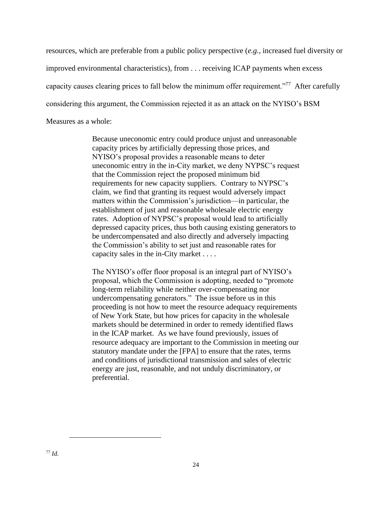resources, which are preferable from a public policy perspective (*e.g.*, increased fuel diversity or improved environmental characteristics), from . . . receiving ICAP payments when excess capacity causes clearing prices to fall below the minimum offer requirement."<sup>77</sup> After carefully considering this argument, the Commission rejected it as an attack on the NYISO's BSM Measures as a whole:

> Because uneconomic entry could produce unjust and unreasonable capacity prices by artificially depressing those prices, and NYISO's proposal provides a reasonable means to deter uneconomic entry in the in-City market, we deny NYPSC's request that the Commission reject the proposed minimum bid requirements for new capacity suppliers. Contrary to NYPSC's claim, we find that granting its request would adversely impact matters within the Commission's jurisdiction—in particular, the establishment of just and reasonable wholesale electric energy rates. Adoption of NYPSC's proposal would lead to artificially depressed capacity prices, thus both causing existing generators to be undercompensated and also directly and adversely impacting the Commission's ability to set just and reasonable rates for capacity sales in the in-City market . . . .

> The NYISO's offer floor proposal is an integral part of NYISO's proposal, which the Commission is adopting, needed to "promote long-term reliability while neither over-compensating nor undercompensating generators." The issue before us in this proceeding is not how to meet the resource adequacy requirements of New York State, but how prices for capacity in the wholesale markets should be determined in order to remedy identified flaws in the ICAP market. As we have found previously, issues of resource adequacy are important to the Commission in meeting our statutory mandate under the [FPA] to ensure that the rates, terms and conditions of jurisdictional transmission and sales of electric energy are just, reasonable, and not unduly discriminatory, or preferential.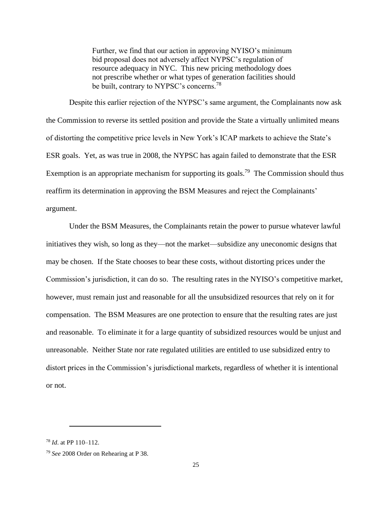Further, we find that our action in approving NYISO's minimum bid proposal does not adversely affect NYPSC's regulation of resource adequacy in NYC. This new pricing methodology does not prescribe whether or what types of generation facilities should be built, contrary to NYPSC's concerns.<sup>78</sup>

Despite this earlier rejection of the NYPSC's same argument, the Complainants now ask the Commission to reverse its settled position and provide the State a virtually unlimited means of distorting the competitive price levels in New York's ICAP markets to achieve the State's ESR goals. Yet, as was true in 2008, the NYPSC has again failed to demonstrate that the ESR Exemption is an appropriate mechanism for supporting its goals.<sup>79</sup> The Commission should thus reaffirm its determination in approving the BSM Measures and reject the Complainants' argument.

Under the BSM Measures, the Complainants retain the power to pursue whatever lawful initiatives they wish, so long as they—not the market—subsidize any uneconomic designs that may be chosen. If the State chooses to bear these costs, without distorting prices under the Commission's jurisdiction, it can do so. The resulting rates in the NYISO's competitive market, however, must remain just and reasonable for all the unsubsidized resources that rely on it for compensation. The BSM Measures are one protection to ensure that the resulting rates are just and reasonable. To eliminate it for a large quantity of subsidized resources would be unjust and unreasonable. Neither State nor rate regulated utilities are entitled to use subsidized entry to distort prices in the Commission's jurisdictional markets, regardless of whether it is intentional or not.

<sup>78</sup> *Id*. at PP 110–112.

<sup>79</sup> *See* 2008 Order on Rehearing at P 38.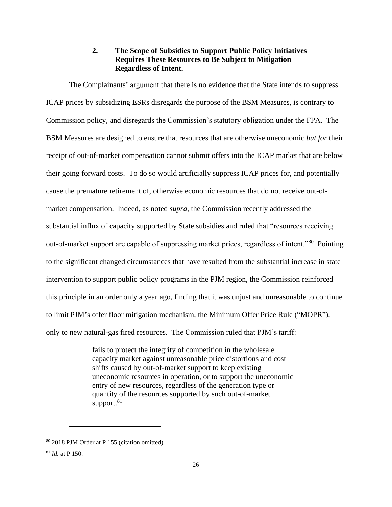# **2. The Scope of Subsidies to Support Public Policy Initiatives Requires These Resources to Be Subject to Mitigation Regardless of Intent.**

The Complainants' argument that there is no evidence that the State intends to suppress ICAP prices by subsidizing ESRs disregards the purpose of the BSM Measures, is contrary to Commission policy, and disregards the Commission's statutory obligation under the FPA. The BSM Measures are designed to ensure that resources that are otherwise uneconomic *but for* their receipt of out-of-market compensation cannot submit offers into the ICAP market that are below their going forward costs. To do so would artificially suppress ICAP prices for, and potentially cause the premature retirement of, otherwise economic resources that do not receive out-ofmarket compensation. Indeed, as noted *supra*, the Commission recently addressed the substantial influx of capacity supported by State subsidies and ruled that "resources receiving out-of-market support are capable of suppressing market prices, regardless of intent."<sup>80</sup> Pointing to the significant changed circumstances that have resulted from the substantial increase in state intervention to support public policy programs in the PJM region, the Commission reinforced this principle in an order only a year ago, finding that it was unjust and unreasonable to continue to limit PJM's offer floor mitigation mechanism, the Minimum Offer Price Rule ("MOPR"), only to new natural-gas fired resources. The Commission ruled that PJM's tariff:

> fails to protect the integrity of competition in the wholesale capacity market against unreasonable price distortions and cost shifts caused by out-of-market support to keep existing uneconomic resources in operation, or to support the uneconomic entry of new resources, regardless of the generation type or quantity of the resources supported by such out-of-market support.<sup>81</sup>

<sup>80</sup> 2018 PJM Order at P 155 (citation omitted).

<sup>81</sup> *Id.* at P 150.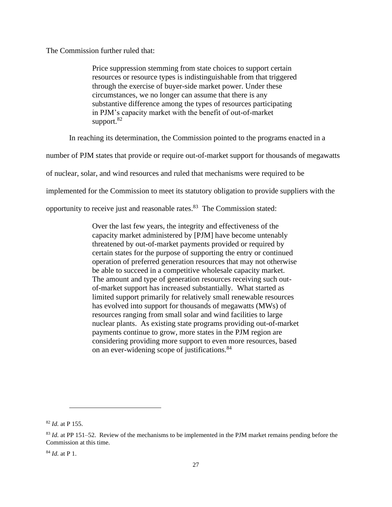The Commission further ruled that:

Price suppression stemming from state choices to support certain resources or resource types is indistinguishable from that triggered through the exercise of buyer-side market power. Under these circumstances, we no longer can assume that there is any substantive difference among the types of resources participating in PJM's capacity market with the benefit of out-of-market support. $82$ 

In reaching its determination, the Commission pointed to the programs enacted in a

number of PJM states that provide or require out-of-market support for thousands of megawatts

of nuclear, solar, and wind resources and ruled that mechanisms were required to be

implemented for the Commission to meet its statutory obligation to provide suppliers with the

opportunity to receive just and reasonable rates.<sup>83</sup> The Commission stated:

Over the last few years, the integrity and effectiveness of the capacity market administered by [PJM] have become untenably threatened by out-of-market payments provided or required by certain states for the purpose of supporting the entry or continued operation of preferred generation resources that may not otherwise be able to succeed in a competitive wholesale capacity market. The amount and type of generation resources receiving such outof-market support has increased substantially. What started as limited support primarily for relatively small renewable resources has evolved into support for thousands of megawatts (MWs) of resources ranging from small solar and wind facilities to large nuclear plants. As existing state programs providing out-of-market payments continue to grow, more states in the PJM region are considering providing more support to even more resources, based on an ever-widening scope of justifications.<sup>84</sup>

<sup>82</sup> *Id.* at P 155.

<sup>83</sup> *Id.* at PP 151–52. Review of the mechanisms to be implemented in the PJM market remains pending before the Commission at this time.

<sup>84</sup> *Id.* at P 1.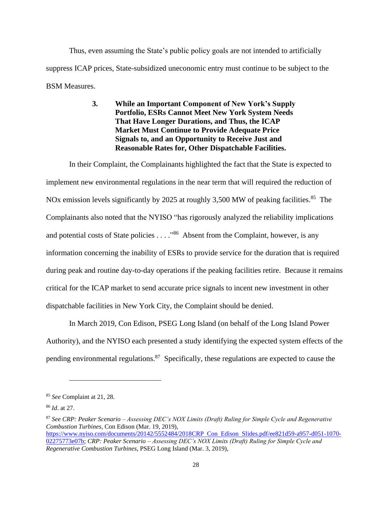Thus, even assuming the State's public policy goals are not intended to artificially suppress ICAP prices, State-subsidized uneconomic entry must continue to be subject to the BSM Measures.

# **3. While an Important Component of New York's Supply Portfolio, ESRs Cannot Meet New York System Needs That Have Longer Durations, and Thus, the ICAP Market Must Continue to Provide Adequate Price Signals to, and an Opportunity to Receive Just and Reasonable Rates for, Other Dispatchable Facilities.**

In their Complaint, the Complainants highlighted the fact that the State is expected to implement new environmental regulations in the near term that will required the reduction of NOx emission levels significantly by 2025 at roughly 3,500 MW of peaking facilities.<sup>85</sup> The Complainants also noted that the NYISO "has rigorously analyzed the reliability implications and potential costs of State policies . . . . "<sup>86</sup> Absent from the Complaint, however, is any information concerning the inability of ESRs to provide service for the duration that is required during peak and routine day-to-day operations if the peaking facilities retire. Because it remains critical for the ICAP market to send accurate price signals to incent new investment in other dispatchable facilities in New York City, the Complaint should be denied.

In March 2019, Con Edison, PSEG Long Island (on behalf of the Long Island Power Authority), and the NYISO each presented a study identifying the expected system effects of the pending environmental regulations.<sup>87</sup> Specifically, these regulations are expected to cause the

<sup>85</sup> *See* Complaint at 21, 28.

<sup>86</sup> *Id*. at 27.

<sup>87</sup> *See CRP: Peaker Scenario – Assessing DEC's NOX Limits (Draft) Ruling for Simple Cycle and Regenerative Combustion Turbines*, Con Edison (Mar. 19, 2019), https://www.nyiso.com/documents/20142/5552484/2018CRP Con Edison Slides.pdf/ee821d59-a957-d051-1070- 02275773e07b; *CRP: Peaker Scenario – Assessing DEC's NOX Limits (Draft) Ruling for Simple Cycle and Regenerative Combustion Turbines*, PSEG Long Island (Mar. 3, 2019),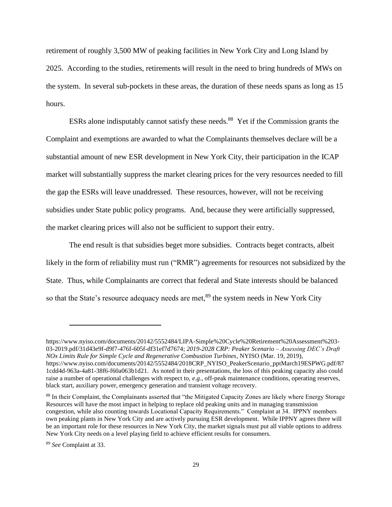retirement of roughly 3,500 MW of peaking facilities in New York City and Long Island by 2025. According to the studies, retirements will result in the need to bring hundreds of MWs on the system. In several sub-pockets in these areas, the duration of these needs spans as long as 15 hours.

ESRs alone indisputably cannot satisfy these needs.<sup>88</sup> Yet if the Commission grants the Complaint and exemptions are awarded to what the Complainants themselves declare will be a substantial amount of new ESR development in New York City, their participation in the ICAP market will substantially suppress the market clearing prices for the very resources needed to fill the gap the ESRs will leave unaddressed. These resources, however, will not be receiving subsidies under State public policy programs. And, because they were artificially suppressed, the market clearing prices will also not be sufficient to support their entry.

The end result is that subsidies beget more subsidies. Contracts beget contracts, albeit likely in the form of reliability must run ("RMR") agreements for resources not subsidized by the State. Thus, while Complainants are correct that federal and State interests should be balanced so that the State's resource adequacy needs are met,<sup>89</sup> the system needs in New York City

https://www.nyiso.com/documents/20142/5552484/LIPA-Simple%20Cycle%20Retirement%20Assessment%203- 03-2019.pdf/31d43e9f-d9f7-476f-605f-df31ef7d7674; *2019-2028 CRP: Peaker Scenario – Assessing DEC's Draft NOx Limits Rule for Simple Cycle and Regenerative Combustion Turbines*, NYISO (Mar. 19, 2019), https://www.nyiso.com/documents/20142/5552484/2018CRP\_NYISO\_PeakerScenario\_pptMarch19ESPWG.pdf/87 1cdd4d-963a-4a81-38f6-f60a063b1d21. As noted in their presentations, the loss of this peaking capacity also could raise a number of operational challenges with respect to, *e.g.*, off-peak maintenance conditions, operating reserves, black start, auxiliary power, emergency generation and transient voltage recovery.

<sup>88</sup> In their Complaint, the Complainants asserted that "the Mitigated Capacity Zones are likely where Energy Storage Resources will have the most impact in helping to replace old peaking units and in managing transmission congestion, while also counting towards Locational Capacity Requirements." Complaint at 34. IPPNY members own peaking plants in New York City and are actively pursuing ESR development. While IPPNY agrees there will be an important role for these resources in New York City, the market signals must put all viable options to address New York City needs on a level playing field to achieve efficient results for consumers.

<sup>89</sup> *See* Complaint at 33.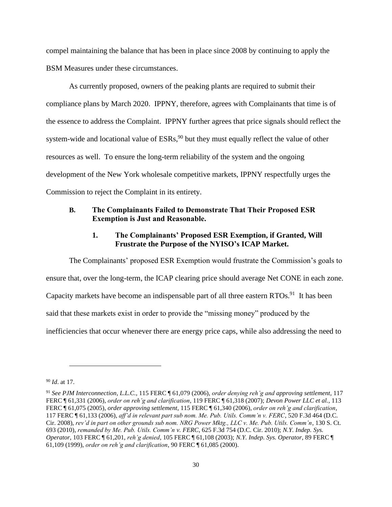compel maintaining the balance that has been in place since 2008 by continuing to apply the BSM Measures under these circumstances.

As currently proposed, owners of the peaking plants are required to submit their compliance plans by March 2020. IPPNY, therefore, agrees with Complainants that time is of the essence to address the Complaint. IPPNY further agrees that price signals should reflect the system-wide and locational value of  $ESRs$ ,  $90$  but they must equally reflect the value of other resources as well. To ensure the long-term reliability of the system and the ongoing development of the New York wholesale competitive markets, IPPNY respectfully urges the Commission to reject the Complaint in its entirety.

## **B. The Complainants Failed to Demonstrate That Their Proposed ESR Exemption is Just and Reasonable.**

## **1. The Complainants' Proposed ESR Exemption, if Granted, Will Frustrate the Purpose of the NYISO's ICAP Market.**

The Complainants' proposed ESR Exemption would frustrate the Commission's goals to ensure that, over the long-term, the ICAP clearing price should average Net CONE in each zone. Capacity markets have become an indispensable part of all three eastern RTOs.<sup>91</sup> It has been said that these markets exist in order to provide the "missing money" produced by the inefficiencies that occur whenever there are energy price caps, while also addressing the need to

<sup>90</sup> *Id*. at 17.

<sup>91</sup> *See PJM Interconnection, L.L.C.*, 115 FERC ¶ 61,079 (2006), *order denying reh'g and approving settlement*, 117 FERC ¶ 61,331 (2006), *order on reh'g and clarification*, 119 FERC ¶ 61,318 (2007); *Devon Power LLC et al.*, 113 FERC ¶ 61,075 (2005), *order approving settlement*, 115 FERC ¶ 61,340 (2006), *order on reh'g and clarification*, 117 FERC ¶ 61,133 (2006), *aff'd in relevant part sub nom. Me. Pub. Utils. Comm'n v. FERC*, 520 F.3d 464 (D.C. Cir. 2008), *rev'd in part on other grounds sub nom. NRG Power Mktg., LLC v. Me. Pub. Utils. Comm'n*, 130 S. Ct. 693 (2010), *remanded by Me. Pub. Utils. Comm'n v. FERC*, 625 F.3d 754 (D.C. Cir. 2010); *N.Y. Indep. Sys. Operator*, 103 FERC ¶ 61,201, *reh'g denied*, 105 FERC ¶ 61,108 (2003); *N.Y. Indep. Sys. Operator*, 89 FERC ¶ 61,109 (1999), *order on reh'g and clarification*, 90 FERC ¶ 61,085 (2000).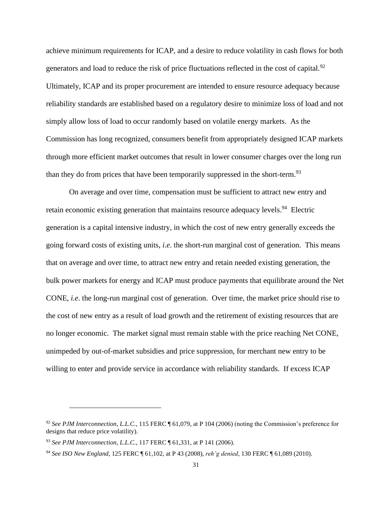achieve minimum requirements for ICAP, and a desire to reduce volatility in cash flows for both generators and load to reduce the risk of price fluctuations reflected in the cost of capital.<sup>92</sup> Ultimately, ICAP and its proper procurement are intended to ensure resource adequacy because reliability standards are established based on a regulatory desire to minimize loss of load and not simply allow loss of load to occur randomly based on volatile energy markets. As the Commission has long recognized, consumers benefit from appropriately designed ICAP markets through more efficient market outcomes that result in lower consumer charges over the long run than they do from prices that have been temporarily suppressed in the short-term.<sup>93</sup>

On average and over time, compensation must be sufficient to attract new entry and retain economic existing generation that maintains resource adequacy levels.<sup>94</sup> Electric generation is a capital intensive industry, in which the cost of new entry generally exceeds the going forward costs of existing units, *i.e*. the short-run marginal cost of generation. This means that on average and over time, to attract new entry and retain needed existing generation, the bulk power markets for energy and ICAP must produce payments that equilibrate around the Net CONE, *i.e*. the long-run marginal cost of generation. Over time, the market price should rise to the cost of new entry as a result of load growth and the retirement of existing resources that are no longer economic. The market signal must remain stable with the price reaching Net CONE, unimpeded by out-of-market subsidies and price suppression, for merchant new entry to be willing to enter and provide service in accordance with reliability standards. If excess ICAP

<sup>&</sup>lt;sup>92</sup> See PJM Interconnection, L.L.C., 115 FERC ¶ 61,079, at P 104 (2006) (noting the Commission's preference for designs that reduce price volatility).

<sup>93</sup> *See PJM Interconnection, L.L.C.*, 117 FERC ¶ 61,331, at P 141 (2006).

<sup>94</sup> *See ISO New England*, 125 FERC ¶ 61,102, at P 43 (2008), *reh'g denied*, 130 FERC ¶ 61,089 (2010).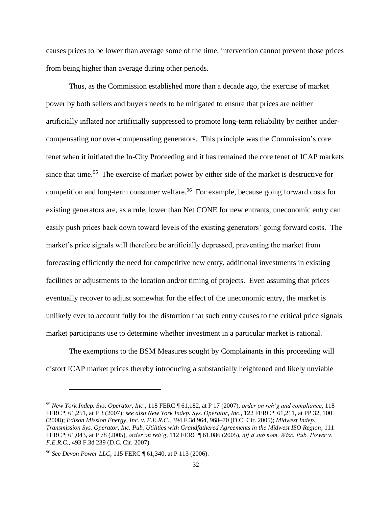causes prices to be lower than average some of the time, intervention cannot prevent those prices from being higher than average during other periods.

Thus, as the Commission established more than a decade ago, the exercise of market power by both sellers and buyers needs to be mitigated to ensure that prices are neither artificially inflated nor artificially suppressed to promote long-term reliability by neither undercompensating nor over-compensating generators. This principle was the Commission's core tenet when it initiated the In-City Proceeding and it has remained the core tenet of ICAP markets since that time.<sup>95</sup> The exercise of market power by either side of the market is destructive for competition and long-term consumer welfare.<sup>96</sup> For example, because going forward costs for existing generators are, as a rule, lower than Net CONE for new entrants, uneconomic entry can easily push prices back down toward levels of the existing generators' going forward costs. The market's price signals will therefore be artificially depressed, preventing the market from forecasting efficiently the need for competitive new entry, additional investments in existing facilities or adjustments to the location and/or timing of projects. Even assuming that prices eventually recover to adjust somewhat for the effect of the uneconomic entry, the market is unlikely ever to account fully for the distortion that such entry causes to the critical price signals market participants use to determine whether investment in a particular market is rational.

The exemptions to the BSM Measures sought by Complainants in this proceeding will distort ICAP market prices thereby introducing a substantially heightened and likely unviable

<sup>95</sup> *New York Indep. Sys. Operator, Inc*., 118 FERC ¶ 61,182, at P 17 (2007), *order on reh'g and compliance*, 118 FERC ¶ 61,251, at P 3 (2007); *see also New York Indep. Sys. Operator*, *Inc*., 122 FERC ¶ 61,211, at PP 32, 100 (2008); *Edison Mission Energy, Inc. v. F.E.R.C.*, 394 F.3d 964, 968–70 (D.C. Cir. 2005); *Midwest Indep. Transmission Sys. Operator, Inc. Pub. Utilities with Grandfathered Agreements in the Midwest ISO Region*, 111 FERC ¶ 61,043, at P 78 (2005), *order on reh'g*, 112 FERC ¶ 61,086 (2005), *aff'd sub nom. Wisc. Pub. Power v. F.E.R.C.*, 493 F.3d 239 (D.C. Cir. 2007).

<sup>96</sup> *See Devon Power LLC*, 115 FERC ¶ 61,340, at P 113 (2006).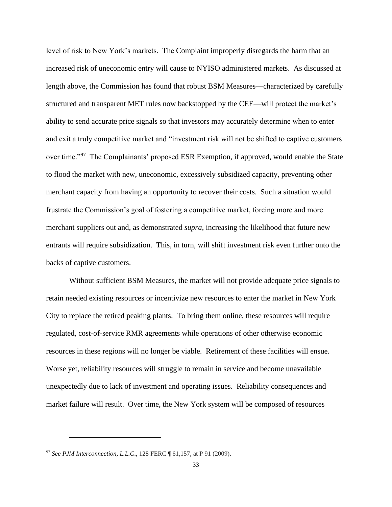level of risk to New York's markets. The Complaint improperly disregards the harm that an increased risk of uneconomic entry will cause to NYISO administered markets. As discussed at length above, the Commission has found that robust BSM Measures—characterized by carefully structured and transparent MET rules now backstopped by the CEE—will protect the market's ability to send accurate price signals so that investors may accurately determine when to enter and exit a truly competitive market and "investment risk will not be shifted to captive customers over time."<sup>97</sup> The Complainants' proposed ESR Exemption, if approved, would enable the State to flood the market with new, uneconomic, excessively subsidized capacity, preventing other merchant capacity from having an opportunity to recover their costs. Such a situation would frustrate the Commission's goal of fostering a competitive market, forcing more and more merchant suppliers out and, as demonstrated *supra*, increasing the likelihood that future new entrants will require subsidization. This, in turn, will shift investment risk even further onto the backs of captive customers.

Without sufficient BSM Measures, the market will not provide adequate price signals to retain needed existing resources or incentivize new resources to enter the market in New York City to replace the retired peaking plants. To bring them online, these resources will require regulated, cost-of-service RMR agreements while operations of other otherwise economic resources in these regions will no longer be viable. Retirement of these facilities will ensue. Worse yet, reliability resources will struggle to remain in service and become unavailable unexpectedly due to lack of investment and operating issues. Reliability consequences and market failure will result. Over time, the New York system will be composed of resources

<sup>97</sup> *See PJM Interconnection, L.L.C*., 128 FERC ¶ 61,157, at P 91 (2009).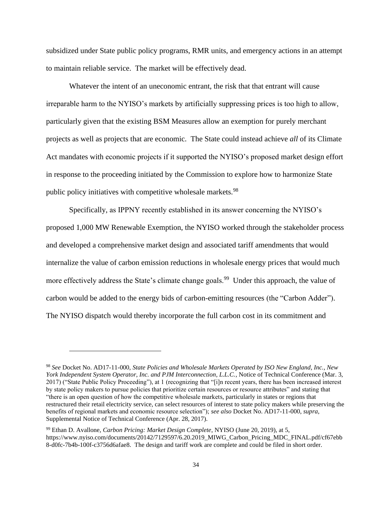subsidized under State public policy programs, RMR units, and emergency actions in an attempt to maintain reliable service. The market will be effectively dead.

Whatever the intent of an uneconomic entrant, the risk that that entrant will cause irreparable harm to the NYISO's markets by artificially suppressing prices is too high to allow, particularly given that the existing BSM Measures allow an exemption for purely merchant projects as well as projects that are economic. The State could instead achieve *all* of its Climate Act mandates with economic projects if it supported the NYISO's proposed market design effort in response to the proceeding initiated by the Commission to explore how to harmonize State public policy initiatives with competitive wholesale markets.<sup>98</sup>

Specifically, as IPPNY recently established in its answer concerning the NYISO's proposed 1,000 MW Renewable Exemption, the NYISO worked through the stakeholder process and developed a comprehensive market design and associated tariff amendments that would internalize the value of carbon emission reductions in wholesale energy prices that would much more effectively address the State's climate change goals.<sup>99</sup> Under this approach, the value of carbon would be added to the energy bids of carbon-emitting resources (the "Carbon Adder"). The NYISO dispatch would thereby incorporate the full carbon cost in its commitment and

<sup>98</sup> *See* Docket No. AD17-11-000, *State Policies and Wholesale Markets Operated by ISO New England, Inc., New York Independent System Operator, Inc. and PJM Interconnection, L.L.C.*, Notice of Technical Conference (Mar. 3, 2017) ("State Public Policy Proceeding"), at 1 (recognizing that "[i]n recent years, there has been increased interest by state policy makers to pursue policies that prioritize certain resources or resource attributes" and stating that "there is an open question of how the competitive wholesale markets, particularly in states or regions that restructured their retail electricity service, can select resources of interest to state policy makers while preserving the benefits of regional markets and economic resource selection"); *see also* Docket No. AD17-11-000, *supra*, Supplemental Notice of Technical Conference (Apr. 28, 2017).

<sup>99</sup> Ethan D. Avallone, *Carbon Pricing: Market Design Complete*, NYISO (June 20, 2019), at 5, https://www.nyiso.com/documents/20142/7129597/6.20.2019\_MIWG\_Carbon\_Pricing\_MDC\_FINAL.pdf/cf67ebb 8-d0fc-7b4b-100f-c3756d6afae8. The design and tariff work are complete and could be filed in short order.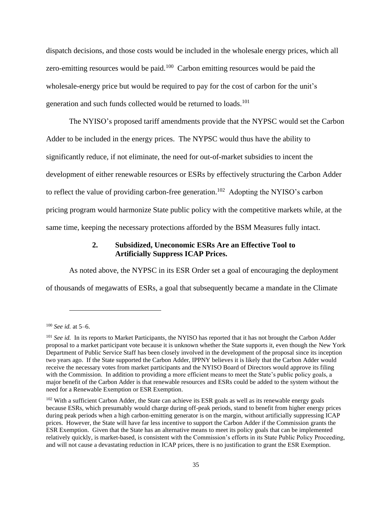dispatch decisions, and those costs would be included in the wholesale energy prices, which all zero-emitting resources would be paid. $100$  Carbon emitting resources would be paid the wholesale-energy price but would be required to pay for the cost of carbon for the unit's generation and such funds collected would be returned to loads.<sup>101</sup>

The NYISO's proposed tariff amendments provide that the NYPSC would set the Carbon Adder to be included in the energy prices. The NYPSC would thus have the ability to significantly reduce, if not eliminate, the need for out-of-market subsidies to incent the development of either renewable resources or ESRs by effectively structuring the Carbon Adder to reflect the value of providing carbon-free generation. <sup>102</sup> Adopting the NYISO's carbon pricing program would harmonize State public policy with the competitive markets while, at the same time, keeping the necessary protections afforded by the BSM Measures fully intact.

## **2. Subsidized, Uneconomic ESRs Are an Effective Tool to Artificially Suppress ICAP Prices.**

As noted above, the NYPSC in its ESR Order set a goal of encouraging the deployment of thousands of megawatts of ESRs, a goal that subsequently became a mandate in the Climate

<sup>100</sup> *See id.* at 5–6.

<sup>&</sup>lt;sup>101</sup> *See id.* In its reports to Market Participants, the NYISO has reported that it has not brought the Carbon Adder proposal to a market participant vote because it is unknown whether the State supports it, even though the New York Department of Public Service Staff has been closely involved in the development of the proposal since its inception two years ago. If the State supported the Carbon Adder, IPPNY believes it is likely that the Carbon Adder would receive the necessary votes from market participants and the NYISO Board of Directors would approve its filing with the Commission. In addition to providing a more efficient means to meet the State's public policy goals, a major benefit of the Carbon Adder is that renewable resources and ESRs could be added to the system without the need for a Renewable Exemption or ESR Exemption.

<sup>&</sup>lt;sup>102</sup> With a sufficient Carbon Adder, the State can achieve its ESR goals as well as its renewable energy goals because ESRs, which presumably would charge during off-peak periods, stand to benefit from higher energy prices during peak periods when a high carbon-emitting generator is on the margin, without artificially suppressing ICAP prices. However, the State will have far less incentive to support the Carbon Adder if the Commission grants the ESR Exemption. Given that the State has an alternative means to meet its policy goals that can be implemented relatively quickly, is market-based, is consistent with the Commission's efforts in its State Public Policy Proceeding, and will not cause a devastating reduction in ICAP prices, there is no justification to grant the ESR Exemption.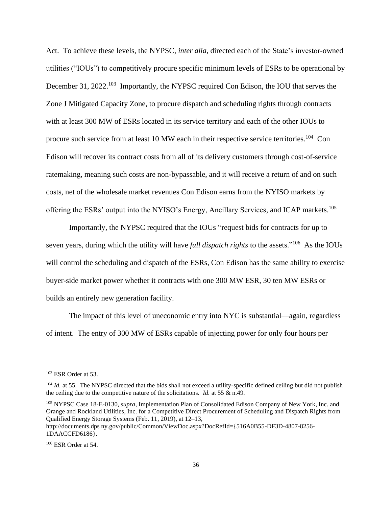Act. To achieve these levels, the NYPSC, *inter alia*, directed each of the State's investor-owned utilities ("IOUs") to competitively procure specific minimum levels of ESRs to be operational by December 31, 2022.<sup>103</sup> Importantly, the NYPSC required Con Edison, the IOU that serves the Zone J Mitigated Capacity Zone, to procure dispatch and scheduling rights through contracts with at least 300 MW of ESRs located in its service territory and each of the other IOUs to procure such service from at least 10 MW each in their respective service territories.<sup>104</sup> Con Edison will recover its contract costs from all of its delivery customers through cost-of-service ratemaking, meaning such costs are non-bypassable, and it will receive a return of and on such costs, net of the wholesale market revenues Con Edison earns from the NYISO markets by offering the ESRs' output into the NYISO's Energy, Ancillary Services, and ICAP markets.<sup>105</sup>

Importantly, the NYPSC required that the IOUs "request bids for contracts for up to seven years, during which the utility will have *full dispatch rights* to the assets."<sup>106</sup> As the IOUs will control the scheduling and dispatch of the ESRs, Con Edison has the same ability to exercise buyer-side market power whether it contracts with one 300 MW ESR, 30 ten MW ESRs or builds an entirely new generation facility.

The impact of this level of uneconomic entry into NYC is substantial—again, regardless of intent. The entry of 300 MW of ESRs capable of injecting power for only four hours per

<sup>105</sup> NYPSC Case 18-E-0130, *supra*, Implementation Plan of Consolidated Edison Company of New York, Inc. and Orange and Rockland Utilities, Inc. for a Competitive Direct Procurement of Scheduling and Dispatch Rights from Qualified Energy Storage Systems (Feb. 11, 2019), at 12–13,

http://documents.dps ny.gov/public/Common/ViewDoc.aspx?DocRefId={516A0B55-DF3D-4807-8256- 1DAACCFD6186}.

 $103$  ESR Order at 53.

 $104$  *Id.* at 55. The NYPSC directed that the bids shall not exceed a utility-specific defined ceiling but did not publish the ceiling due to the competitive nature of the solicitations. *Id.* at 55 & n.49.

<sup>106</sup> ESR Order at 54.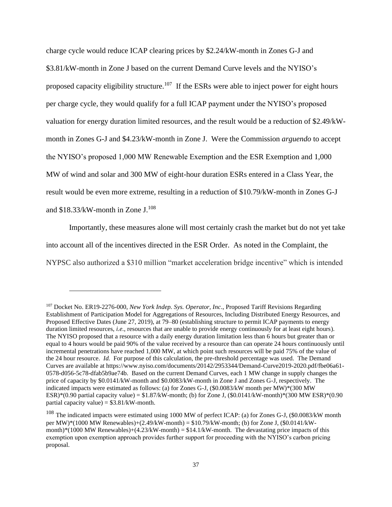charge cycle would reduce ICAP clearing prices by \$2.24/kW-month in Zones G-J and \$3.81/kW-month in Zone J based on the current Demand Curve levels and the NYISO's proposed capacity eligibility structure.<sup>107</sup> If the ESRs were able to inject power for eight hours per charge cycle, they would qualify for a full ICAP payment under the NYISO's proposed valuation for energy duration limited resources, and the result would be a reduction of \$2.49/kWmonth in Zones G-J and \$4.23/kW-month in Zone J. Were the Commission *arguendo* to accept the NYISO's proposed 1,000 MW Renewable Exemption and the ESR Exemption and 1,000 MW of wind and solar and 300 MW of eight-hour duration ESRs entered in a Class Year, the result would be even more extreme, resulting in a reduction of \$10.79/kW-month in Zones G-J and  $$18.33/kW$ -month in Zone J.<sup>108</sup>

Importantly, these measures alone will most certainly crash the market but do not yet take into account all of the incentives directed in the ESR Order. As noted in the Complaint, the NYPSC also authorized a \$310 million "market acceleration bridge incentive" which is intended

<sup>107</sup> Docket No. ER19-2276-000, *New York Indep. Sys. Operator, Inc*., Proposed Tariff Revisions Regarding Establishment of Participation Model for Aggregations of Resources, Including Distributed Energy Resources, and Proposed Effective Dates (June 27, 2019), at 79–80 (establishing structure to permit ICAP payments to energy duration limited resources, *i.e.*, resources that are unable to provide energy continuously for at least eight hours). The NYISO proposed that a resource with a daily energy duration limitation less than 6 hours but greater than or equal to 4 hours would be paid 90% of the value received by a resource than can operate 24 hours continuously until incremental penetrations have reached 1,000 MW, at which point such resources will be paid 75% of the value of the 24 hour resource. *Id.* For purpose of this calculation, the pre-threshold percentage was used. The Demand Curves are available at https://www.nyiso.com/documents/20142/2953344/Demand-Curve2019-2020.pdf/fbe06a61- 0578-d056-5c78-dfab5b9ae74b. Based on the current Demand Curves, each 1 MW change in supply changes the price of capacity by \$0.0141/kW-month and \$0.0083/kW-month in Zone J and Zones G-J, respectively. The indicated impacts were estimated as follows: (a) for Zones G-J, (\$0.0083/kW month per MW)\*(300 MW ESR)\*(0.90 partial capacity value) =  $$1.87/kW$ -month; (b) for Zone J, ( $$0.0141/kW$ -month)\*(300 MW ESR)\*(0.90 partial capacity value) =  $$3.81/kW$ -month.

<sup>&</sup>lt;sup>108</sup> The indicated impacts were estimated using 1000 MW of perfect ICAP: (a) for Zones G-J, (\$0.0083/kW month per MW)\*(1000 MW Renewables)+(2.49/kW-month) = \$10.79/kW-month; (b) for Zone J, (\$0.0141/kWmonth)\*(1000 MW Renewables)+(4.23/kW-month) =  $$14.1/kW$ -month. The devastating price impacts of this exemption upon exemption approach provides further support for proceeding with the NYISO's carbon pricing proposal.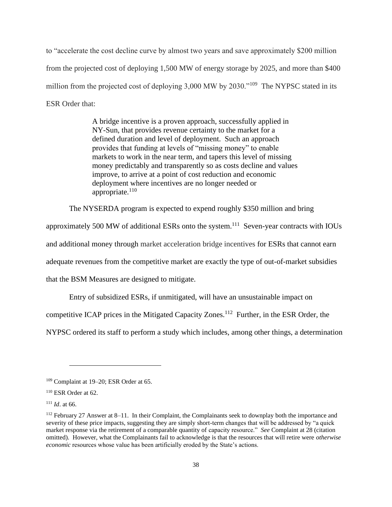to "accelerate the cost decline curve by almost two years and save approximately \$200 million from the projected cost of deploying 1,500 MW of energy storage by 2025, and more than \$400 million from the projected cost of deploying 3,000 MW by 2030."<sup>109</sup> The NYPSC stated in its ESR Order that:

> A bridge incentive is a proven approach, successfully applied in NY-Sun, that provides revenue certainty to the market for a defined duration and level of deployment. Such an approach provides that funding at levels of "missing money" to enable markets to work in the near term, and tapers this level of missing money predictably and transparently so as costs decline and values improve, to arrive at a point of cost reduction and economic deployment where incentives are no longer needed or appropriate. $110$

The NYSERDA program is expected to expend roughly \$350 million and bring

approximately 500 MW of additional ESRs onto the system.<sup>111</sup> Seven-year contracts with IOUs

and additional money through market acceleration bridge incentives for ESRs that cannot earn

adequate revenues from the competitive market are exactly the type of out-of-market subsidies

that the BSM Measures are designed to mitigate.

Entry of subsidized ESRs, if unmitigated, will have an unsustainable impact on

competitive ICAP prices in the Mitigated Capacity Zones.<sup>112</sup> Further, in the ESR Order, the

NYPSC ordered its staff to perform a study which includes, among other things, a determination

<sup>109</sup> Complaint at 19–20; ESR Order at 65.

 $110$  ESR Order at 62.

<sup>111</sup> *Id*. at 66.

<sup>112</sup> February 27 Answer at 8–11. In their Complaint, the Complainants seek to downplay both the importance and severity of these price impacts, suggesting they are simply short-term changes that will be addressed by "a quick market response via the retirement of a comparable quantity of capacity resource." *See* Complaint at 28 (citation omitted). However, what the Complainants fail to acknowledge is that the resources that will retire were *otherwise economic* resources whose value has been artificially eroded by the State's actions.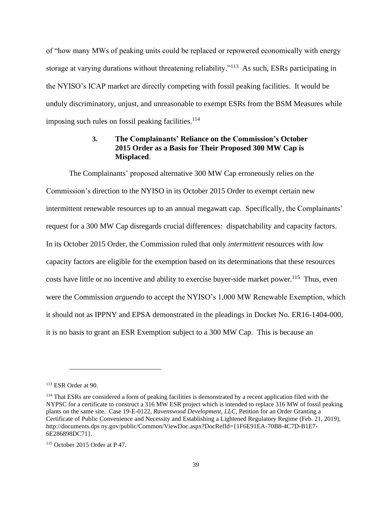of "how many MWs of peaking units could be replaced or repowered economically with energy storage at varying durations without threatening reliability."<sup>113</sup> As such, ESRs participating in the NYISO's ICAP market are directly competing with fossil peaking facilities. It would be unduly discriminatory, unjust, and unreasonable to exempt ESRs from the BSM Measures while imposing such rules on fossil peaking facilities.<sup>114</sup>

# **3. The Complainants' Reliance on the Commission's October 2015 Order as a Basis for Their Proposed 300 MW Cap is Misplaced**.

The Complainants' proposed alternative 300 MW Cap erroneously relies on the Commission's direction to the NYISO in its October 2015 Order to exempt certain new intermittent renewable resources up to an annual megawatt cap. Specifically, the Complainants' request for a 300 MW Cap disregards crucial differences: dispatchability and capacity factors. In its October 2015 Order, the Commission ruled that only *intermittent* resources with *low*  capacity factors are eligible for the exemption based on its determinations that these resources costs have little or no incentive and ability to exercise buyer-side market power.<sup>115</sup> Thus, even were the Commission *arguendo* to accept the NYISO's 1,000 MW Renewable Exemption, which it should not as IPPNY and EPSA demonstrated in the pleadings in Docket No. ER16-1404-000, it is no basis to grant an ESR Exemption subject to a 300 MW Cap. This is because an

<sup>113</sup> ESR Order at 90.

<sup>&</sup>lt;sup>114</sup> That ESRs are considered a form of peaking facilities is demonstrated by a recent application filed with the NYPSC for a certificate to construct a 316 MW ESR project which is intended to replace 316 MW of fossil peaking plants on the same site. Case 19-E-0122, *Ravenswood Development, LLC*, Petition for an Order Granting a Certificate of Public Convenience and Necessity and Establishing a Lightened Regulatory Regime (Feb. 21, 2019), http://documents.dps ny.gov/public/Common/ViewDoc.aspx?DocRefId={1F6E91EA-70B8-4C7D-B1E7- 6E286898DC71}.

 $115$  October 2015 Order at P 47.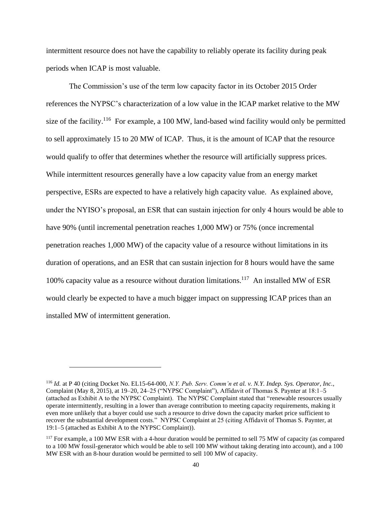intermittent resource does not have the capability to reliably operate its facility during peak periods when ICAP is most valuable.

The Commission's use of the term low capacity factor in its October 2015 Order references the NYPSC's characterization of a low value in the ICAP market relative to the MW size of the facility.<sup>116</sup> For example, a 100 MW, land-based wind facility would only be permitted to sell approximately 15 to 20 MW of ICAP. Thus, it is the amount of ICAP that the resource would qualify to offer that determines whether the resource will artificially suppress prices. While intermittent resources generally have a low capacity value from an energy market perspective, ESRs are expected to have a relatively high capacity value. As explained above, under the NYISO's proposal, an ESR that can sustain injection for only 4 hours would be able to have 90% (until incremental penetration reaches 1,000 MW) or 75% (once incremental penetration reaches 1,000 MW) of the capacity value of a resource without limitations in its duration of operations, and an ESR that can sustain injection for 8 hours would have the same 100% capacity value as a resource without duration limitations.<sup>117</sup> An installed MW of ESR would clearly be expected to have a much bigger impact on suppressing ICAP prices than an installed MW of intermittent generation.

<sup>116</sup> *Id.* at P 40 (citing Docket No. EL15-64-000, *N.Y. Pub. Serv. Comm'n et al. v. N.Y. Indep. Sys. Operator, Inc.*, Complaint (May 8, 2015), at 19–20, 24–25 ("NYPSC Complaint"), Affidavit of Thomas S. Paynter at 18:1–5 (attached as Exhibit A to the NYPSC Complaint). The NYPSC Complaint stated that "renewable resources usually operate intermittently, resulting in a lower than average contribution to meeting capacity requirements, making it even more unlikely that a buyer could use such a resource to drive down the capacity market price sufficient to recover the substantial development costs." NYPSC Complaint at 25 (citing Affidavit of Thomas S. Paynter, at 19:1–5 (attached as Exhibit A to the NYPSC Complaint)).

<sup>&</sup>lt;sup>117</sup> For example, a 100 MW ESR with a 4-hour duration would be permitted to sell 75 MW of capacity (as compared to a 100 MW fossil-generator which would be able to sell 100 MW without taking derating into account), and a 100 MW ESR with an 8-hour duration would be permitted to sell 100 MW of capacity.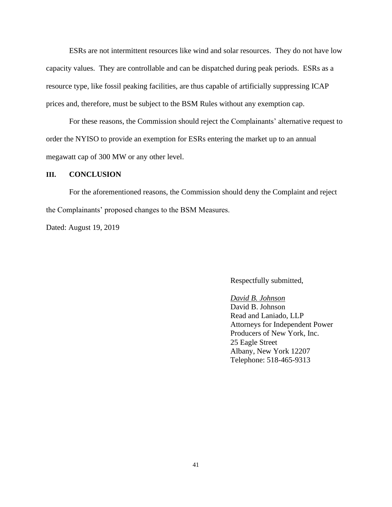ESRs are not intermittent resources like wind and solar resources. They do not have low capacity values. They are controllable and can be dispatched during peak periods. ESRs as a resource type, like fossil peaking facilities, are thus capable of artificially suppressing ICAP prices and, therefore, must be subject to the BSM Rules without any exemption cap.

For these reasons, the Commission should reject the Complainants' alternative request to order the NYISO to provide an exemption for ESRs entering the market up to an annual megawatt cap of 300 MW or any other level.

### **III. CONCLUSION**

For the aforementioned reasons, the Commission should deny the Complaint and reject the Complainants' proposed changes to the BSM Measures.

Dated: August 19, 2019

#### Respectfully submitted,

# *David B. Johnson* David B. Johnson Read and Laniado, LLP Attorneys for Independent Power Producers of New York, Inc. 25 Eagle Street Albany, New York 12207

Telephone: 518-465-9313